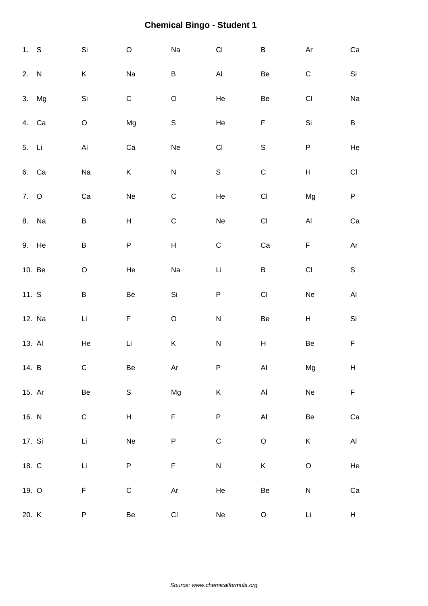| 1. S   |        | Si                      | $\mathsf O$               | Na                                                                                        | $\mathsf{C}\mathsf{I}$       | $\sf B$                      | Ar                        | ${\rm Ca}$             |
|--------|--------|-------------------------|---------------------------|-------------------------------------------------------------------------------------------|------------------------------|------------------------------|---------------------------|------------------------|
| 2. N   |        | Κ                       | Na                        | B                                                                                         | $\mathsf{Al}\hspace{0.04cm}$ | Be                           | $\mathsf C$               | $\mathsf{Si}\xspace$   |
|        | 3. Mg  | Si                      | ${\bf C}$                 | $\hbox{O}$                                                                                | He                           | Be                           | $\mathsf{Cl}% _{C}$       | Na                     |
| 4. Ca  |        | $\mathsf O$             | Mg                        | $\mathsf S$                                                                               | He                           | $\mathsf F$                  | Si                        | $\sf B$                |
| 5. Li  |        | $\mathsf{Al}\xspace$    | Ca                        | Ne                                                                                        | $\mathsf{C}\mathsf{I}$       | $\mathsf S$                  | $\sf P$                   | He                     |
| 6. Ca  |        | $\operatorname{\sf Na}$ | K                         | ${\sf N}$                                                                                 | $\mathsf S$                  | $\mathsf C$                  | $\boldsymbol{\mathsf{H}}$ | $\mathsf{C}\mathsf{I}$ |
| 7. O   |        | ${\rm Ca}$              | Ne                        | $\mathsf C$                                                                               | He                           | $\mathsf{Cl}% _{C}$          | Mg                        | ${\sf P}$              |
| 8. Na  |        | B                       | $\boldsymbol{\mathsf{H}}$ | $\mathsf C$                                                                               | Ne                           | $\mathsf{CI}%$               | $\mathsf{Al}\xspace$      | Ca                     |
| 9. He  |        | $\sf B$                 | P                         | $\sf H$                                                                                   | $\mathsf C$                  | Ca                           | F                         | $\mathsf{Ar}$          |
|        | 10. Be | $\mathsf O$             | He                        | Na                                                                                        | $\mathsf{Li}\xspace$         | $\sf B$                      | $\mathsf{C}\mathsf{I}$    | $\mathsf S$            |
| 11. S  |        | $\sf B$                 | Be                        | $\mathsf{Si}\xspace$                                                                      | ${\sf P}$                    | $\mathsf{Cl}% _{C}$          | Ne                        | $\mathsf{Al}\xspace$   |
|        | 12. Na | Li                      | $\mathsf F$               | $\mathsf O$                                                                               | $\overline{\mathsf{N}}$      | Be                           | H                         | Si                     |
| 13. Al |        | He                      | $\mathsf{Li}\xspace$      | $\sf K$                                                                                   | ${\sf N}$                    | $\sf H$                      | $\mbox{\sf Be}$           | $\mathsf F$            |
| 14. B  |        | C                       | Be                        | Ar                                                                                        | P                            | Al                           | Mg                        | H                      |
| 15. Ar |        | $\mbox{\sf Be}$         | S                         | Mg                                                                                        | $\mathsf K$                  | $\mathsf{Al}\hspace{0.04cm}$ | ${\sf Ne}$                | $\mathsf F$            |
| 16. N  |        | ${\bf C}$               | H                         | F                                                                                         | $\sf P$                      | $\mathsf{Al}\hspace{0.04cm}$ | $\mbox{\sf Be}$           | Ca                     |
| 17. Si |        | Li                      | Ne                        | ${\sf P}$                                                                                 | $\mathsf C$                  | $\hbox{O}$                   | $\sf K$                   | $\mathsf{Al}\xspace$   |
| 18. C  |        | Li                      | P                         | F                                                                                         | ${\sf N}$                    | $\sf K$                      | $\mathsf O$               | He                     |
| 19. O  |        | F                       | $\mathsf C$               | $\mathsf{Ar}% _{T}=\mathsf{Ar}_{T}\!\left( a,b\right) ,\ \mathsf{Ar}_{T}=\mathsf{Ar}_{T}$ | He                           | $\mbox{\sf Be}$              | ${\sf N}$                 | ${\rm Ca}$             |
| 20. K  |        | P                       | Be                        | $\mathsf{CI}\xspace$                                                                      | $\operatorname{\sf Ne}$      | $\mathsf O$                  | Li                        | H                      |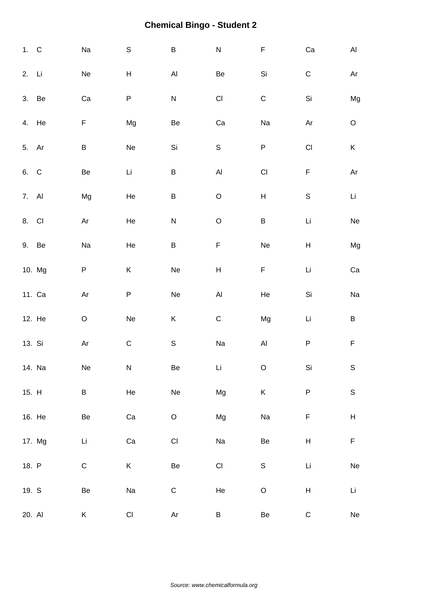| 1. C   |        | Na                      | $\mathsf S$ | $\sf B$                 | ${\sf N}$                 | $\mathsf F$               | ${\rm Ca}$                | AI                        |
|--------|--------|-------------------------|-------------|-------------------------|---------------------------|---------------------------|---------------------------|---------------------------|
| 2. Li  |        | Ne                      | Н           | $\mathsf{Al}\xspace$    | Be                        | $\mathsf{Si}\xspace$      | $\mathsf C$               | Ar                        |
| 3. Be  |        | Ca                      | P           | ${\sf N}$               | $\mathsf{C}\mathsf{I}$    | $\mathsf C$               | $\mathsf{Si}\xspace$      | Mg                        |
| 4. He  |        | F                       | Mg          | $\mbox{\sf Be}$         | Ca                        | Na                        | Ar                        | $\mathsf O$               |
| 5. Ar  |        | $\sf B$                 | Ne          | Si                      | $\mathsf S$               | ${\sf P}$                 | $\mathsf{C}\mathsf{I}$    | $\sf K$                   |
| 6. C   |        | Be                      | Li          | $\sf B$                 | $\mathsf{Al}\xspace$      | $\mathsf{C}\mathsf{I}$    | $\mathsf F$               | Ar                        |
| 7. Al  |        | Mg                      | He          | $\sf B$                 | $\mathsf O$               | $\boldsymbol{\mathsf{H}}$ | $\mathbb S$               | Li                        |
| 8. CI  |        | Ar                      | He          | ${\sf N}$               | $\mathsf O$               | $\sf B$                   | Li                        | $\operatorname{\sf Ne}$   |
| 9. Be  |        | Na                      | He          | $\sf B$                 | F                         | Ne                        | $\boldsymbol{\mathsf{H}}$ | Mg                        |
|        | 10. Mg | P                       | Κ           | $\operatorname{\sf Ne}$ | $\boldsymbol{\mathsf{H}}$ | F                         | Li                        | ${\rm Ca}$                |
|        | 11. Ca | Ar                      | P           | $\operatorname{\sf Ne}$ | $\mathsf{Al}\xspace$      | He                        | Si                        | Na                        |
|        | 12. He | $\mathsf O$             | Ne          | $\sf K$                 | $\mathsf C$               | Mg                        | Li                        | $\sf B$                   |
| 13. Si |        | $\mathsf{Ar}$           | $\mathsf C$ | $\mathsf S$             | Na                        | $\mathsf{Al}\xspace$      | $\sf P$                   | $\mathsf F$               |
|        | 14. Na | $\operatorname{\sf Ne}$ | ${\sf N}$   | $\mbox{\sf Be}$         | Li                        | $\mathsf O$               | $\mathsf{Si}\xspace$      | $\mathbb S$               |
| 15. H  |        | B                       | He          | $\operatorname{\sf Ne}$ | Mg                        | Κ                         | ${\sf P}$                 | $\mathsf S$               |
| 16. He |        | Be                      | Ca          | $\mathsf O$             | Mg                        | Na                        | F                         | $\boldsymbol{\mathsf{H}}$ |
|        | 17. Mg | Li                      | Ca          | $\mathsf{CI}\xspace$    | Na                        | Be                        | $H_{\parallel}$           | $\mathsf F$               |
| 18. P  |        | $\mathsf C$             | K           | Be                      | $\mathsf{CI}%$            | $\mathsf S$               | Li                        | ${\sf Ne}$                |
| 19. S  |        | Be                      | Na          | ${\mathsf C}$           | He                        | $\mathsf O$               | $\boldsymbol{\mathsf{H}}$ | Li                        |
| 20. Al |        | Κ                       | CI          | Ar                      | B                         | Be                        | $\mathsf C$               | Ne                        |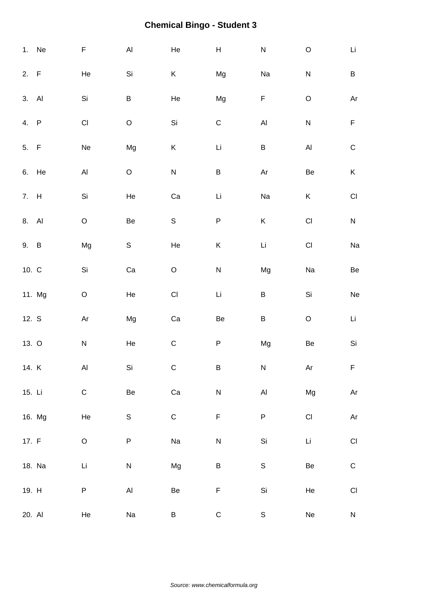|        | 1. Ne  | F                            | $\mathsf{Al}\xspace$ | He             | $\boldsymbol{\mathsf{H}}$ | ${\sf N}$                                                                                 | $\mathsf O$          | Li                     |
|--------|--------|------------------------------|----------------------|----------------|---------------------------|-------------------------------------------------------------------------------------------|----------------------|------------------------|
| 2. F   |        | He                           | Si                   | K              | Mg                        | Na                                                                                        | ${\sf N}$            | $\sf B$                |
| 3. Al  |        | Si                           | $\sf B$              | He             | Mg                        | F                                                                                         | $\mathsf O$          | Ar                     |
| 4. P   |        | $\mathsf{Cl}% _{C}$          | $\hbox{O}$           | Si             | $\mathsf C$               | $\mathsf{Al}\xspace$                                                                      | ${\sf N}$            | $\mathsf F$            |
| 5. F   |        | Ne                           | Mg                   | K              | Li                        | $\sf B$                                                                                   | $\mathsf{Al}\xspace$ | $\mathsf C$            |
| 6. He  |        | $\mathsf{Al}\hspace{0.04cm}$ | $\mathsf O$          | ${\sf N}$      | $\sf B$                   | $\mathsf{Ar}% _{T}=\mathsf{Ar}_{T}\!\left( a,b\right) ,\ \mathsf{Ar}_{T}=\mathsf{Ar}_{T}$ | Be                   | $\sf K$                |
| 7. H   |        | Si                           | He                   | Ca             | Li                        | Na                                                                                        | K                    | $\mathsf{C}\mathsf{I}$ |
| 8. Al  |        | $\mathsf O$                  | Be                   | $\mathsf S$    | $\sf P$                   | K                                                                                         | $\mathsf{CI}%$       | ${\sf N}$              |
| 9. B   |        | Mg                           | ${\sf S}$            | He             | Κ                         | $\mathsf{Li}\xspace$                                                                      | $\mathsf{Cl}% _{C}$  | Na                     |
| 10. C  |        | Si                           | Ca                   | $\mathsf O$    | ${\sf N}$                 | Mg                                                                                        | Na                   | Be                     |
|        | 11. Mg | $\mathsf O$                  | He                   | $\mathsf{CI}%$ | Li                        | $\sf B$                                                                                   | Si                   | Ne                     |
| 12. S  |        | $\mathsf{Ar}$                | Mg                   | Ca             | Be                        | $\sf B$                                                                                   | $\hbox{O}$           | Li                     |
| 13. O  |        | ${\sf N}$                    | He                   | ${\bf C}$      | $\sf P$                   | Mg                                                                                        | $\mbox{\sf Be}$      | Si                     |
| 14. K  |        | Al                           | Si                   | $\mathsf{C}$   | B                         | N                                                                                         | Ar                   | F.                     |
| 15. Li |        | $\mathsf C$                  | $\mbox{\sf Be}$      | Ca             | ${\sf N}$                 | $\mathsf{Al}\hspace{0.04cm}$                                                              | Mg                   | $\mathsf{Ar}$          |
|        | 16. Mg | He                           | $\mathsf S$          | $\mathsf C$    | $\mathsf F$               | $\sf P$                                                                                   | $\mathsf{CI}\xspace$ | Ar                     |
| 17. F  |        | $\mathsf O$                  | P                    | Na             | $\mathsf{N}$              | Si                                                                                        | Li                   | $\mathsf{C}\mathsf{I}$ |
|        | 18. Na | Li                           | ${\sf N}$            | Mg             | B                         | $\mathsf S$                                                                               | Be                   | $\mathsf C$            |
| 19. H  |        | P                            | $\mathsf{Al}\xspace$ | Be             | F                         | Si                                                                                        | He                   | $\mathsf{CI}\xspace$   |
| 20. Al |        | He                           | Na                   | B              | ${\bf C}$                 | $\mathsf S$                                                                               | Ne                   | $\mathsf{N}$           |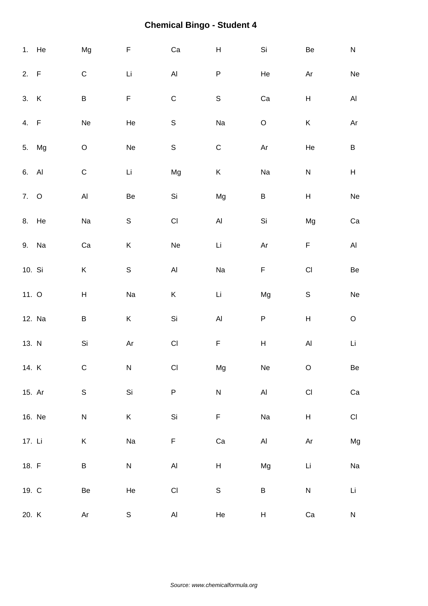|         | 1. He  | Mg                        | F               | ${\rm Ca}$                   | $\boldsymbol{\mathsf{H}}$ | Si                                                                                        | Be                        | ${\sf N}$                                                  |
|---------|--------|---------------------------|-----------------|------------------------------|---------------------------|-------------------------------------------------------------------------------------------|---------------------------|------------------------------------------------------------|
| 2. F    |        | $\mathsf C$               | Li              | $\mathsf{Al}\hspace{0.04cm}$ | P                         | He                                                                                        | Ar                        | $\operatorname{\sf Ne}$                                    |
| 3. K    |        | B                         | F               | $\mathsf C$                  | $\mathsf S$               | Ca                                                                                        | H                         | $\mathsf{Al}\xspace$                                       |
| 4. F    |        | Ne                        | He              | $\mathsf S$                  | Na                        | $\mathsf O$                                                                               | K                         | $\mathsf{Ar}% _{\mathsf{C}}^{\mathsf{C}}(\mathcal{M}_{0})$ |
|         | 5. Mg  | $\mathsf O$               | Ne              | $\mathsf S$                  | ${\bf C}$                 | $\mathsf{Ar}% _{T}=\mathsf{Ar}_{T}$                                                       | He                        | $\sf B$                                                    |
| 6. Al   |        | $\mathsf C$               | Li              | Mg                           | $\sf K$                   | Na                                                                                        | ${\sf N}$                 | $\boldsymbol{\mathsf{H}}$                                  |
| 7. O    |        | $\mathsf{Al}\xspace$      | Be              | Si                           | Mg                        | $\sf B$                                                                                   | $\sf H$                   | $\operatorname{\sf Ne}$                                    |
|         | 8. He  | Na                        | $\mathsf S$     | $\mathsf{CI}\xspace$         | $\mathsf{Al}\xspace$      | Si                                                                                        | Mg                        | ${\rm Ca}$                                                 |
| 9. Na   |        | Ca                        | Κ               | Ne                           | Li                        | $\mathsf{Ar}% _{T}=\mathsf{Ar}_{T}\!\left( a,b\right) ,\ \mathsf{Ar}_{T}=\mathsf{Ar}_{T}$ | F                         | $\mathsf{Al}\xspace$                                       |
| 10. Si  |        | $\mathsf K$               | $\mathsf S$     | $\mathsf{Al}\hspace{0.04cm}$ | Na                        | F                                                                                         | $\mathsf{CI}\xspace$      | $\mbox{\sf Be}$                                            |
| 11. $O$ |        | $\boldsymbol{\mathsf{H}}$ | Na              | K                            | Li                        | Mg                                                                                        | $\mathsf S$               | Ne                                                         |
|         | 12. Na | B                         | Κ               | $\mathsf{Si}\xspace$         | $\mathsf{Al}\xspace$      | P                                                                                         | $\boldsymbol{\mathsf{H}}$ | $\hbox{O}$                                                 |
| 13. N   |        | Si                        | $\mathsf{Ar}$   | $\mathsf{CI}\xspace$         | F                         | $\sf H$                                                                                   | $\mathsf{Al}\xspace$      | Li                                                         |
| 14. K   |        | $\mathsf{C}$              | N               | CI                           | Mg                        | Ne                                                                                        | $\circ$                   | Be                                                         |
| 15. Ar  |        | $\mathbb S$               | Si              | $\sf P$                      | ${\sf N}$                 | $\mathsf{Al}\xspace$                                                                      | $\mathsf{CI}\xspace$      | Ca                                                         |
|         | 16. Ne | ${\sf N}$                 | K               | Si                           | $\mathsf F$               | Na                                                                                        | $\boldsymbol{\mathsf{H}}$ | $\mathsf{CI}%$                                             |
| 17. Li  |        | K                         | Na              | $\mathsf F$                  | $\rm Ca$                  | $\mathsf{Al}\xspace$                                                                      | Ar                        | Mg                                                         |
| 18. F   |        | B                         | ${\sf N}$       | $\mathsf{Al}\hspace{0.04cm}$ | $\boldsymbol{\mathsf{H}}$ | Mg                                                                                        | Li                        | Na                                                         |
| 19. C   |        | $\mbox{\sf Be}$           | He              | $\mathsf{CI}\xspace$         | $\mathsf S$               | $\sf B$                                                                                   | ${\sf N}$                 | Li                                                         |
| 20. K   |        | Ar                        | $S_{\parallel}$ | AI                           | He                        | H                                                                                         | Ca                        | ${\sf N}$                                                  |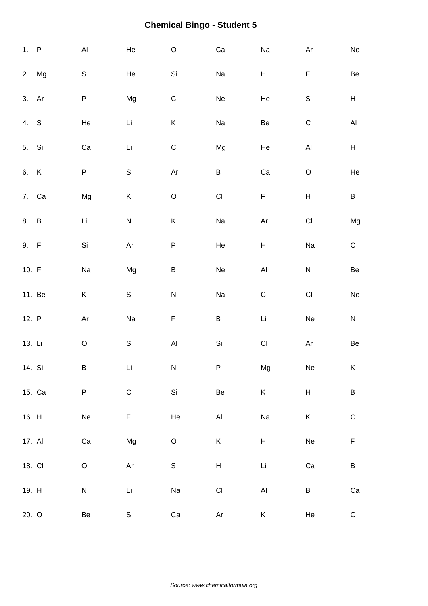| 1. P   |        | $\mathsf{Al}\xspace$         | He          | $\mathsf O$          | ${\rm Ca}$                | Na                           | Ar                        | ${\sf Ne}$                |
|--------|--------|------------------------------|-------------|----------------------|---------------------------|------------------------------|---------------------------|---------------------------|
|        | 2. Mg  | $\mathbb S$                  | He          | Si                   | Na                        | $\boldsymbol{\mathsf{H}}$    | F                         | Be                        |
| 3. Ar  |        | P                            | Mg          | $\mathsf{CI}\xspace$ | $\operatorname{\sf Ne}$   | He                           | $\mathbb S$               | H                         |
| 4. S   |        | He                           | Li          | K                    | Na                        | Be                           | $\mathsf C$               | $\mathsf{Al}\xspace$      |
| 5. Si  |        | ${\rm Ca}$                   | Li          | $\mathsf{CI}\xspace$ | Mg                        | He                           | $\mathsf{Al}\xspace$      | $\boldsymbol{\mathsf{H}}$ |
| 6. K   |        | P                            | $\mathsf S$ | Ar                   | B                         | Ca                           | $\mathsf O$               | He                        |
| 7. Ca  |        | Mg                           | K           | $\mathsf O$          | $\mathsf{CI}\xspace$      | $\mathsf F$                  | $\boldsymbol{\mathsf{H}}$ | B                         |
| 8. B   |        | Li                           | ${\sf N}$   | K                    | Na                        | $\mathsf{Ar}$                | $\mathsf{CI}\xspace$      | Mg                        |
| 9. F   |        | Si                           | Ar          | ${\sf P}$            | He                        | $\boldsymbol{\mathsf{H}}$    | Na                        | ${\bf C}$                 |
| 10. F  |        | Na                           | Mg          | $\sf B$              | Ne                        | $\mathsf{Al}\hspace{0.04cm}$ | ${\sf N}$                 | $\mbox{\sf Be}$           |
|        | 11. Be | Κ                            | Si          | ${\sf N}$            | Na                        | $\mathsf C$                  | $\mathsf{C}\mathsf{I}$    | $\operatorname{\sf Ne}$   |
| 12. P  |        | Ar                           | Na          | $\mathsf F$          | $\sf B$                   | Li                           | Ne                        | ${\sf N}$                 |
| 13. Li |        | $\mathsf O$                  | $\mathbb S$ | $\mathsf{Al}\xspace$ | Si                        | $\mathsf{CI}\xspace$         | Ar                        | Be                        |
| 14. Si |        | B                            | Li          | ${\sf N}$            | P                         | Mg                           | Ne                        | K                         |
|        | 15. Ca | P                            | ${\bf C}$   | Si                   | Be                        | $\mathsf K$                  | $\boldsymbol{\mathsf{H}}$ | $\sf B$                   |
| 16. H  |        | $\operatorname{\mathsf{Ne}}$ | F           | He                   | $\mathsf{Al}\xspace$      | Na                           | $\sf K$                   | $\mathsf C$               |
| 17. Al |        | ${\rm Ca}$                   | Mg          | $\mathsf O$          | K                         | $\mathsf{H}$                 | $\operatorname{\sf Ne}$   | $\mathsf F$               |
| 18. CI |        | $\mathsf O$                  | Ar          | $\mathsf S$          | $\boldsymbol{\mathsf{H}}$ | Li                           | ${\rm Ca}$                | B                         |
| 19. H  |        | ${\sf N}$                    | Li          | Na                   | $\mathsf{C}\mathsf{I}$    | $\mathsf{Al}\hspace{0.04cm}$ | $\sf B$                   | Ca                        |
| 20. O  |        | Be                           | Si          | Ca                   | Ar                        | K                            | He                        | ${\bf C}$                 |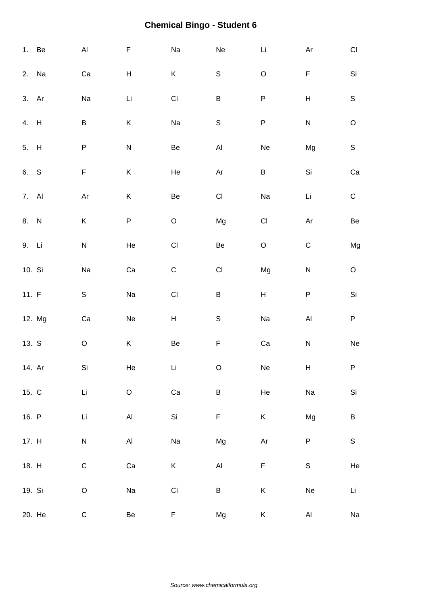|         | 1. Be  | $\mathsf{Al}\xspace$ | F             | Na                   | Ne                     | $\mathsf{Li}\xspace$                | Ar                        | $\mathsf{CI}%$          |
|---------|--------|----------------------|---------------|----------------------|------------------------|-------------------------------------|---------------------------|-------------------------|
|         | 2. Na  | Ca                   | H             | K                    | ${\mathsf S}$          | $\hbox{O}$                          | F                         | $\mathsf{Si}\xspace$    |
| 3. Ar   |        | Na                   | Li            | $\mathsf{CI}\xspace$ | $\sf B$                | ${\sf P}$                           | $\boldsymbol{\mathsf{H}}$ | $\mathsf S$             |
| 4. H    |        | B                    | Κ             | Na                   | $\mathsf S$            | ${\sf P}$                           | $\overline{\mathsf{N}}$   | $\mathsf O$             |
| 5. H    |        | P                    | $\mathsf{N}$  | Be                   | $\mathsf{Al}\xspace$   | Ne                                  | Mg                        | $\mathsf S$             |
| 6. S    |        | F                    | $\sf K$       | He                   | $\mathsf{Ar}$          | $\sf B$                             | Si                        | Ca                      |
| 7. Al   |        | $\mathsf{Ar}$        | K             | Be                   | $\mathsf{CI}\xspace$   | Na                                  | Li                        | ${\bf C}$               |
| 8. N    |        | Κ                    | $\sf P$       | $\mathsf O$          | Mg                     | $\mathsf{CI}\xspace$                | $\mathsf{Ar}$             | Be                      |
| 9. Li   |        | ${\sf N}$            | He            | $\mathsf{CI}\xspace$ | Be                     | $\mathsf O$                         | $\mathsf C$               | Mg                      |
| 10. Si  |        | Na                   | Ca            | ${\mathsf C}$        | $\mathsf{C}\mathsf{I}$ | Mg                                  | $\overline{\mathsf{N}}$   | $\mathsf O$             |
| 11. $F$ |        | $\mathbb S$          | Na            | $\mathsf{CI}$        | $\sf B$                | $\boldsymbol{\mathsf{H}}$           | ${\sf P}$                 | $\mathsf{Si}\xspace$    |
|         | 12. Mg | Ca                   | Ne            | H                    | $\mathsf S$            | Na                                  | $\mathsf{Al}\xspace$      | $\sf P$                 |
| 13. S   |        | $\mathsf O$          | K             | Be                   | $\mathsf F$            | Ca                                  | ${\sf N}$                 | $\operatorname{\sf Ne}$ |
| 14. Ar  |        | Si                   | He            | Li                   | $\circ$                | Ne                                  | H                         | P                       |
| 15. C   |        | Li                   | $\circ$       | ${\rm Ca}$           | $\sf B$                | He                                  | Na                        | $\mathsf{Si}\xspace$    |
| 16. P   |        | Li                   | $\mathsf{Al}$ | Si                   | $\mathsf F$            | K                                   | Mg                        | $\sf B$                 |
| 17. H   |        | N                    | AI            | Na                   | Mg                     | $\mathsf{Ar}% _{T}=\mathsf{Ar}_{T}$ | $\sf P$                   | ${\mathsf S}$           |
| 18. H   |        | $\mathsf C$          | Ca            | K                    | $\mathsf{Al}\xspace$   | $\mathsf F$                         | $\mathsf S$               | He                      |
| 19. Si  |        | $\mathsf O$          | Na            | $\mathsf{CI}\xspace$ | $\sf B$                | $\sf K$                             | Ne                        | Li                      |
|         | 20. He | $\mathsf C$          | Be            | F                    | Mg                     | K                                   | AI                        | Na                      |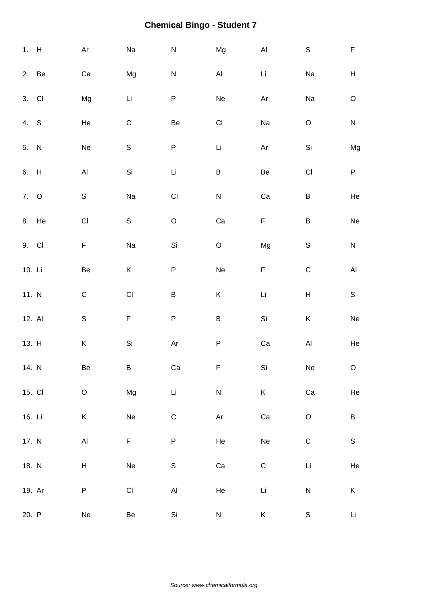| 1. H   |       | Ar                   | Na                      | $\mathsf{N}$         | Mg                   | $\mathsf{Al}\xspace$    | $\mathsf S$               | $\mathsf F$                  |
|--------|-------|----------------------|-------------------------|----------------------|----------------------|-------------------------|---------------------------|------------------------------|
| 2. Be  |       | Ca                   | Mg                      | ${\sf N}$            | $\mathsf{Al}\xspace$ | Li                      | Na                        | $\boldsymbol{\mathsf{H}}$    |
| 3. CI  |       | Mg                   | Li                      | P                    | Ne                   | Ar                      | Na                        | $\circ$                      |
| 4. S   |       | He                   | $\mathsf C$             | Be                   | $\mathsf{CI}%$       | Na                      | $\mathsf O$               | ${\sf N}$                    |
| 5. N   |       | Ne                   | $\mathsf S$             | ${\sf P}$            | Li                   | $\mathsf{Ar}$           | $\mathsf{Si}\xspace$      | Mg                           |
| 6. H   |       | $\mathsf{Al}\xspace$ | Si                      | Li                   | $\sf B$              | $\mbox{\sf Be}$         | $\mathsf{C}\mathsf{I}$    | $\sf P$                      |
| 7. O   |       | $\mathsf S$          | Na                      | $\mathsf{CI}\xspace$ | ${\sf N}$            | Ca                      | $\sf B$                   | $\rm He$                     |
|        | 8. He | $\mathsf{Cl}% _{C}$  | $\mathsf S$             | $\mathsf O$          | Ca                   | F                       | $\sf B$                   | Ne                           |
| 9. CI  |       | F                    | Na                      | Si                   | $\mathsf O$          | Mg                      | $\mathbb S$               | ${\sf N}$                    |
| 10. Li |       | Be                   | K                       | ${\sf P}$            | Ne                   | F                       | $\mathsf C$               | $\mathsf{Al}\xspace$         |
| 11. N  |       | ${\bf C}$            | $\mathsf{CI}\xspace$    | $\sf B$              | K                    | Li                      | $\boldsymbol{\mathsf{H}}$ | $\mathsf S$                  |
| 12. Al |       | $\mathbb S$          | $\mathsf F$             | $\sf P$              | $\sf B$              | Si                      | Κ                         | $\operatorname{\mathsf{Ne}}$ |
| 13. H  |       | $\sf K$              | Si                      | $\mathsf{Ar}$        | ${\sf P}$            | Ca                      | $\mathsf{Al}\xspace$      | He                           |
| 14. N  |       | Be                   | B                       | Ca                   | F                    | Si                      | Ne                        | $\mathsf O$                  |
| 15. CI |       | $\mathsf O$          | Mg                      | Li                   | ${\sf N}$            | $\sf K$                 | ${\rm Ca}$                | He                           |
| 16. Li |       | $\sf K$              | Ne                      | $\mathsf C$          | $\mathsf{Ar}$        | Ca                      | $\mathsf O$               | $\sf B$                      |
| 17. N  |       | $\mathsf{Al}\xspace$ | F                       | $\sf P$              | He                   | $\operatorname{\sf Ne}$ | $\mathsf C$               | $\mathsf S$                  |
| 18. N  |       | H                    | $\operatorname{\sf Ne}$ | $\mathsf S$          | ${\rm Ca}$           | $\mathsf C$             | Li                        | He                           |
| 19. Ar |       | P                    | $\mathsf{CI}\xspace$    | $\mathsf{Al}\xspace$ | He                   | $\mathsf{Li}\xspace$    | ${\sf N}$                 | K                            |
| 20. P  |       | Ne                   | Be                      | Si                   | ${\sf N}$            | K                       | $\mathbb S$               | $\mathsf{Li}$                |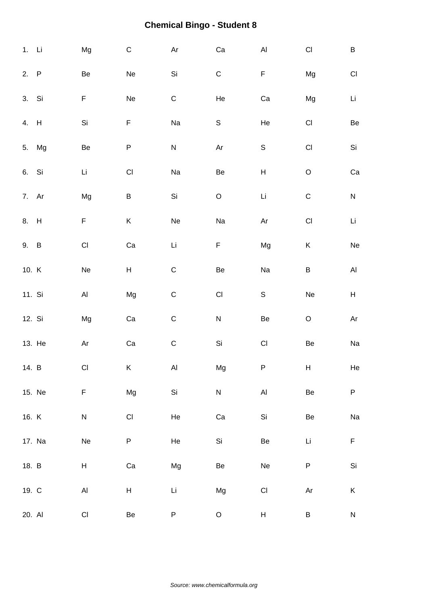| $1.$ Li |        | Mg                     | $\mathsf C$          | Ar          | ${\rm Ca}$          | $\mathsf{Al}\hspace{0.04cm}$        | $\mathsf{C}\mathsf{I}$ | $\sf B$                   |
|---------|--------|------------------------|----------------------|-------------|---------------------|-------------------------------------|------------------------|---------------------------|
| 2. P    |        | Be                     | Ne                   | Si          | $\mathsf C$         | F                                   | Mg                     | $\mathsf{C}\mathsf{I}$    |
| 3. Si   |        | F                      | Ne                   | $\mathsf C$ | He                  | Ca                                  | Mg                     | Li                        |
| 4. H    |        | Si                     | F                    | Na          | $\mathsf S$         | He                                  | $\mathsf{C}\mathsf{I}$ | Be                        |
| 5.      | Mg     | Be                     | ${\sf P}$            | ${\sf N}$   | $\mathsf{Ar}$       | $\mathsf S$                         | $\mathsf{CI}\xspace$   | Si                        |
| 6. Si   |        | Li                     | $\mathsf{Cl}% _{C}$  | Na          | Be                  | $\boldsymbol{\mathsf{H}}$           | $\mathsf O$            | Ca                        |
| 7. Ar   |        | Mg                     | B                    | Si          | $\mathsf O$         | $\mathsf{Li}\xspace$                | $\mathsf C$            | ${\sf N}$                 |
| 8. H    |        | F                      | K                    | Ne          | Na                  | $\mathsf{Ar}% _{T}=\mathsf{Ar}_{T}$ | $\mathsf{CI}\xspace$   | Li                        |
| 9. B    |        | $\mathsf{C}\mathsf{I}$ | Ca                   | Li          | $\mathsf F$         | Mg                                  | Κ                      | Ne                        |
| 10. K   |        | Ne                     | H                    | $\mathsf C$ | Be                  | Na                                  | $\sf B$                | $\mathsf{Al}\xspace$      |
| 11. Si  |        | $\mathsf{Al}\xspace$   | Mg                   | $\mathsf C$ | $\mathsf{Cl}% _{C}$ | $\mathsf S$                         | Ne                     | $\boldsymbol{\mathsf{H}}$ |
| 12. Si  |        | Mg                     | Ca                   | $\mathsf C$ | ${\sf N}$           | Be                                  | $\mathsf O$            | Ar                        |
| 13. He  |        | $\mathsf{Ar}$          | Ca                   | ${\bf C}$   | Si                  | $\mathsf{CI}\xspace$                | Be                     | Na                        |
| 14. B   |        | CI                     | Κ                    | AI          | Mg                  | P                                   | Н                      | He                        |
|         | 15. Ne | F                      | Mg                   | Si          | ${\sf N}$           | $\mathsf{Al}\xspace$                | Be                     | ${\sf P}$                 |
| 16. K   |        | N                      | $\mathsf{CI}\xspace$ | He          | ${\rm Ca}$          | Si                                  | Be                     | Na                        |
|         | 17. Na | Ne                     | P                    | He          | Si                  | Be                                  | Li                     | $\mathsf F$               |
| 18. B   |        | H                      | Ca                   | Mg          | Be                  | Ne                                  | ${\sf P}$              | $\mathsf{Si}\xspace$      |
| 19. C   |        | $\mathsf{Al}\xspace$   | H                    | Li          | Mg                  | $\mathsf{CI}%$                      | Ar                     | Κ                         |
| 20. Al  |        | $\mathsf{C}\mathsf{I}$ | Be                   | P           | $\mathsf O$         | $\mathsf{H}$                        | B                      | ${\sf N}$                 |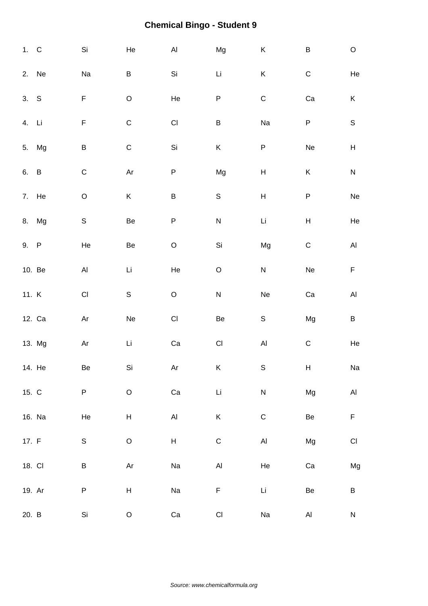| 1. C   |        | $\mathsf{Si}\xspace$   | He                        | $\mathsf{Al}\xspace$ | Mg                   | $\mathsf K$                  | $\sf B$                   | $\mathsf O$             |
|--------|--------|------------------------|---------------------------|----------------------|----------------------|------------------------------|---------------------------|-------------------------|
|        | 2. Ne  | Na                     | B                         | Si                   | $\mathsf{Li}\xspace$ | Κ                            | ${\bf C}$                 | He                      |
| 3. S   |        | $\mathsf F$            | $\mathsf O$               | He                   | ${\sf P}$            | $\mathsf C$                  | Ca                        | K                       |
| 4. Li  |        | $\mathsf F$            | $\mathsf C$               | $\mathsf{CI}\xspace$ | $\sf B$              | Na                           | $\sf P$                   | $\mathsf S$             |
| 5.     | Mg     | $\sf B$                | ${\bf C}$                 | Si                   | K                    | ${\sf P}$                    | Ne                        | $\mathsf{H}%$           |
| 6. B   |        | $\mathsf C$            | Ar                        | ${\sf P}$            | Mg                   | $\boldsymbol{\mathsf{H}}$    | $\sf K$                   | ${\sf N}$               |
|        | 7. He  | $\mathsf O$            | K                         | $\sf B$              | $\mathsf S$          | $\boldsymbol{\mathsf{H}}$    | ${\sf P}$                 | $\operatorname{\sf Ne}$ |
| 8.     | Mg     | $\mathbb S$            | Be                        | ${\sf P}$            | ${\sf N}$            | $\mathsf{Li}\xspace$         | $\boldsymbol{\mathsf{H}}$ | He                      |
| 9. P   |        | He                     | Be                        | $\mathsf O$          | $\mathsf{Si}\xspace$ | Mg                           | $\mathsf C$               | $\mathsf{Al}\xspace$    |
|        | 10. Be | $\mathsf{Al}\xspace$   | Li                        | He                   | $\hbox{O}$           | ${\sf N}$                    | Ne                        | $\mathsf F$             |
| 11. K  |        | $\mathsf{C}\mathsf{I}$ | $\mathsf S$               | $\hbox{O}$           | ${\sf N}$            | Ne                           | Ca                        | $\mathsf{Al}\xspace$    |
|        | 12. Ca | Ar                     | Ne                        | $\mathsf{CI}\xspace$ | Be                   | $\mathsf S$                  | Mg                        | $\sf B$                 |
|        | 13. Mg | $\mathsf{Ar}$          | $\mathop{\hbox{\rm Li}}$  | ${\rm Ca}$           | $\mathsf{CI}\xspace$ | $\mathsf{Al}\hspace{0.04cm}$ | ${\bf C}$                 | He                      |
|        | 14. He | Be                     | Si                        | Ar                   | Κ                    | $\mathbb S$                  | Н                         | Na                      |
| 15. C  |        | ${\sf P}$              | $\mathsf O$               | ${\rm Ca}$           | Li                   | ${\sf N}$                    | Mg                        | $\mathsf{Al}\xspace$    |
|        | 16. Na | $\rm He$               | $\boldsymbol{\mathsf{H}}$ | $\mathsf{Al}\xspace$ | K                    | ${\bf C}$                    | $\mbox{\sf Be}$           | $\mathsf F$             |
| 17. F  |        | $\mathbb S$            | $\circ$                   | H                    | $\mathsf C$          | $\mathsf{Al}\hspace{0.04cm}$ | Mg                        | $\mathsf{CI}%$          |
| 18. CI |        | B                      | $\mathsf{Ar}$             | Na                   | $\mathsf{Al}$        | He                           | Ca                        | Mg                      |
| 19. Ar |        | ${\sf P}$              | H                         | Na                   | F                    | Li                           | $\mbox{\sf Be}$           | $\sf B$                 |
| 20. B  |        | Si                     | $\mathsf O$               | Ca                   | $\mathsf{CI}$        | Na                           | $\mathsf{Al}\xspace$      | N                       |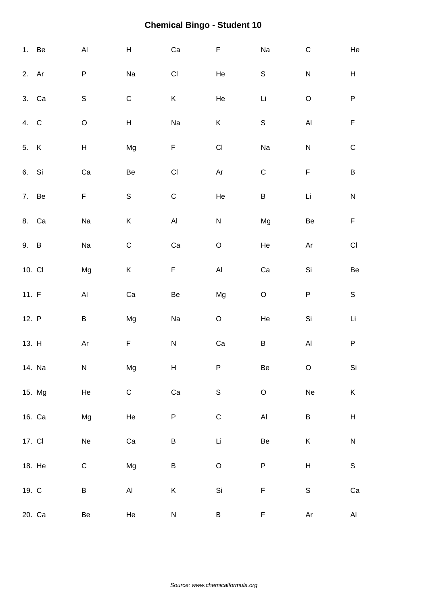|        | 1. Be  | $\mathsf{Al}\xspace$                                                                      | $\boldsymbol{\mathsf{H}}$ | Ca                           | $\mathsf F$                  | Na                   | $\mathsf C$                         | He                     |
|--------|--------|-------------------------------------------------------------------------------------------|---------------------------|------------------------------|------------------------------|----------------------|-------------------------------------|------------------------|
| 2. Ar  |        | P                                                                                         | Na                        | $\mathsf{C}\mathsf{I}$       | He                           | $\mathsf S$          | $\overline{\mathsf{N}}$             | H                      |
|        | 3. Ca  | $\mathsf S$                                                                               | $\mathsf C$               | K                            | He                           | $\mathsf{Li}\xspace$ | $\mathsf O$                         | ${\sf P}$              |
| 4. C   |        | $\mathsf O$                                                                               | $\boldsymbol{\mathsf{H}}$ | Na                           | $\sf K$                      | $\mathsf S$          | $\mathsf{Al}\hspace{0.04cm}$        | $\mathsf F$            |
| 5. K   |        | $\boldsymbol{\mathsf{H}}$                                                                 | Mg                        | F                            | $\mathsf{Cl}% _{C}$          | Na                   | ${\sf N}$                           | $\mathsf C$            |
| 6. Si  |        | ${\rm Ca}$                                                                                | Be                        | $\mathsf{Cl}% _{C}$          | $\mathsf{Ar}$                | $\mathsf C$          | $\mathsf F$                         | $\sf B$                |
|        | 7. Be  | F                                                                                         | $\mathsf S$               | $\mathsf C$                  | $\rm He$                     | $\sf B$              | Li                                  | ${\sf N}$              |
|        | 8. Ca  | Na                                                                                        | K                         | $\mathsf{Al}\hspace{0.04cm}$ | ${\sf N}$                    | Mg                   | Be                                  | $\mathsf F$            |
| 9. B   |        | Na                                                                                        | $\mathsf C$               | Ca                           | $\mathsf O$                  | He                   | Ar                                  | $\mathsf{C}\mathsf{I}$ |
| 10. CI |        | Mg                                                                                        | K                         | F                            | $\mathsf{Al}\hspace{0.04cm}$ | Ca                   | Si                                  | $\mbox{\sf Be}$        |
| 11. F  |        | $\mathsf{Al}\xspace$                                                                      | Ca                        | Be                           | Mg                           | $\mathsf O$          | ${\sf P}$                           | $\mathsf S$            |
| 12. P  |        | B                                                                                         | Mg                        | Na                           | $\mathsf O$                  | He                   | Si                                  | Li                     |
| 13. H  |        | $\mathsf{Ar}% _{T}=\mathsf{Ar}_{T}\!\left( a,b\right) ,\ \mathsf{Ar}_{T}=\mathsf{Ar}_{T}$ | F                         | ${\sf N}$                    | ${\rm Ca}$                   | B                    | $\mathsf{Al}\xspace$                | ${\sf P}$              |
|        | 14. Na | ${\sf N}$                                                                                 | Mg                        | H                            | ${\sf P}$                    | Be                   | $\mathsf O$                         | Si                     |
|        | 15. Mg | He                                                                                        | $\mathsf C$               | ${\rm Ca}$                   | $\mathsf S$                  | $\mathsf O$          | Ne                                  | $\mathsf K$            |
|        | 16. Ca | Mg                                                                                        | He                        | $\sf P$                      | $\mathsf C$                  | $\mathsf{Al}$        | $\sf B$                             | $H_{\rm}$              |
| 17. CI |        | Ne                                                                                        | Ca                        | B                            | Li                           | Be                   | K                                   | ${\sf N}$              |
|        | 18. He | $\mathsf C$                                                                               | Mg                        | B                            | $\mathsf O$                  | ${\sf P}$            | $\mathsf{H}$                        | $\mathsf S$            |
| 19. C  |        | B                                                                                         | Al                        | K                            | $\mathsf{Si}\xspace$         | F                    | $\mathsf S$                         | Ca                     |
|        | 20. Ca | Be                                                                                        | He                        | ${\sf N}$                    | B                            | F                    | $\mathsf{Ar}% _{T}=\mathsf{Ar}_{T}$ | $\mathsf{Al}\xspace$   |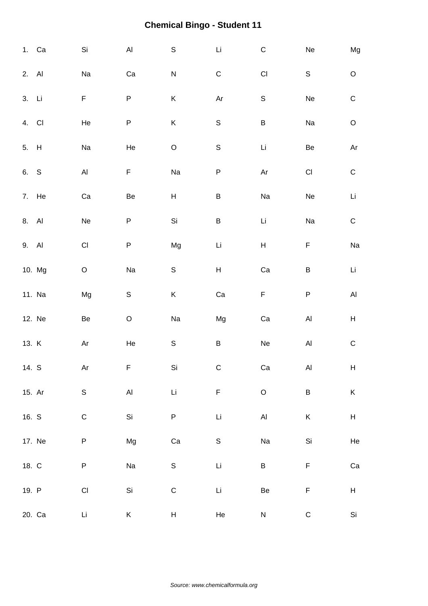|        | 1. Ca  | Si                     | $\mathsf{Al}\xspace$ | $\mathsf S$   | $\mathsf{Li}\xspace$      | $\mathsf C$             | Ne                   | Mg                                                         |
|--------|--------|------------------------|----------------------|---------------|---------------------------|-------------------------|----------------------|------------------------------------------------------------|
| 2. Al  |        | Na                     | Ca                   | ${\sf N}$     | $\mathsf C$               | $\mathsf{C}\mathsf{I}$  | $\mathsf S$          | $\hbox{O}$                                                 |
| 3. Li  |        | $\mathsf F$            | P                    | Κ             | Ar                        | $\mathsf S$             | Ne                   | $\mathsf C$                                                |
| 4. CI  |        | He                     | P                    | $\sf K$       | $\mathsf S$               | $\sf B$                 | Na                   | $\mathsf O$                                                |
| 5. H   |        | $\rm Na$               | He                   | $\mathsf O$   | $\mathsf S$               | Li                      | Be                   | $\mathsf{Ar}% _{\mathsf{C}}^{\mathsf{C}}(\mathcal{M}_{0})$ |
| 6. S   |        | $\mathsf{Al}\xspace$   | F                    | Na            | $\sf P$                   | Ar                      | $\mathsf{CI}\xspace$ | $\mathsf C$                                                |
|        | 7. He  | Ca                     | Be                   | H             | $\sf B$                   | Na                      | Ne                   | Li                                                         |
| 8. Al  |        | Ne                     | P                    | Si            | $\sf B$                   | Li                      | Na                   | ${\bf C}$                                                  |
| 9. Al  |        | CI                     | P                    | Mg            | Li                        | H                       | F                    | Na                                                         |
|        | 10. Mg | $\mathsf O$            | Na                   | S             | $\boldsymbol{\mathsf{H}}$ | Ca                      | $\sf B$              | Li                                                         |
|        | 11. Na | Mg                     | $\mathsf S$          | K             | ${\rm Ca}$                | $\mathsf F$             | ${\sf P}$            | $\mathsf{Al}\xspace$                                       |
|        | 12. Ne | Be                     | $\mathsf O$          | Na            | Mg                        | Ca                      | $\mathsf{Al}\xspace$ | $\boldsymbol{\mathsf{H}}$                                  |
| 13. K  |        | Ar                     | He                   | S             | $\sf B$                   | $\operatorname{\sf Ne}$ | $\mathsf{Al}\xspace$ | $\mathsf C$                                                |
| 14. S  |        | Ar                     | F                    | Si            | C                         | Ca                      | AI                   | H                                                          |
| 15. Ar |        | $\mathsf S$            | $\mathsf{Al}\xspace$ | $\mathsf{Li}$ | $\mathsf F$               | $\mathsf O$             | $\sf B$              | $\sf K$                                                    |
| 16. S  |        | ${\bf C}$              | Si                   | P             | $\mathsf{Li}\xspace$      | $\mathsf{Al}\xspace$    | K                    | $\boldsymbol{\mathsf{H}}$                                  |
|        | 17. Ne | P                      | Mg                   | Ca            | $\mathsf S$               | Na                      | $\mathsf{Si}\xspace$ | He                                                         |
| 18. C  |        | P                      | Na                   | $\mathsf S$   | $\mathsf{Li}$             | $\sf B$                 | F                    | ${\rm Ca}$                                                 |
| 19. P  |        | $\mathsf{C}\mathsf{I}$ | Si                   | $\mathsf C$   | $\mathsf{Li}$             | $\mbox{\sf Be}$         | F                    | $\boldsymbol{\mathsf{H}}$                                  |
|        | 20. Ca | Li                     | K                    | H             | He                        | ${\sf N}$               | $\mathsf C$          | Si                                                         |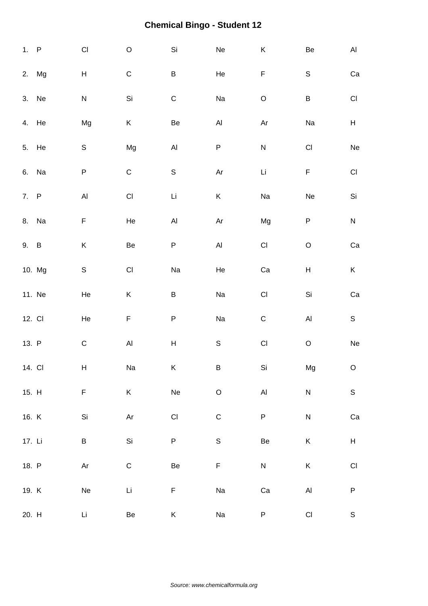| 1. P   |        | $\mathsf{Cl}% _{C}$                                                                       | $\hbox{O}$           | Si                           | Ne                           | $\sf K$                                                                                   | Be                   | AI                                                          |
|--------|--------|-------------------------------------------------------------------------------------------|----------------------|------------------------------|------------------------------|-------------------------------------------------------------------------------------------|----------------------|-------------------------------------------------------------|
|        | 2. Mg  | $\boldsymbol{\mathsf{H}}$                                                                 | ${\bf C}$            | $\sf B$                      | He                           | $\mathsf F$                                                                               | $\mathbb S$          | $\rm Ca$                                                    |
|        | 3. Ne  | ${\sf N}$                                                                                 | Si                   | $\mathsf C$                  | Na                           | $\mathsf O$                                                                               | B                    | $\mathsf{C}\mathsf{I}$                                      |
|        | 4. He  | Mg                                                                                        | K                    | Be                           | $\mathsf{Al}\hspace{0.04cm}$ | $\mathsf{Ar}% _{T}=\mathsf{Ar}_{T}\!\left( a,b\right) ,\ \mathsf{Ar}_{T}=\mathsf{Ar}_{T}$ | Na                   | $\mathsf H$                                                 |
|        | 5. He  | $\mathbb S$                                                                               | Mg                   | $\mathsf{Al}\hspace{0.04cm}$ | P                            | ${\sf N}$                                                                                 | $\mathsf{CI}\xspace$ | $\operatorname{\mathsf{Ne}}$                                |
|        | 6. Na  | $\sf P$                                                                                   | $\mathsf C$          | $\mathsf S$                  | Ar                           | Li                                                                                        | $\mathsf F$          | $\mathsf{Cl}% _{C}$                                         |
| 7. P   |        | $\mathsf{Al}\xspace$                                                                      | $\mathsf{CI}$        | Li                           | K                            | Na                                                                                        | Ne                   | Si                                                          |
|        | 8. Na  | F                                                                                         | He                   | AI                           | $\mathsf{Ar}$                | Mg                                                                                        | P                    | ${\sf N}$                                                   |
| 9. B   |        | Κ                                                                                         | Be                   | P                            | $\mathsf{Al}\xspace$         | $\mathsf{Cl}% _{C}$                                                                       | $\mathsf O$          | ${\rm Ca}$                                                  |
|        | 10. Mg | $\mathsf S$                                                                               | $\mathsf{Cl}% _{C}$  | Na                           | He                           | Ca                                                                                        | Н                    | K                                                           |
|        | 11. Ne | He                                                                                        | Κ                    | $\sf B$                      | Na                           | $\mathsf{Cl}% _{C}$                                                                       | Si                   | Ca                                                          |
| 12. CI |        | He                                                                                        | F                    | ${\sf P}$                    | Na                           | $\mathsf C$                                                                               | $\mathsf{Al}\xspace$ | $\mathsf S$                                                 |
| 13. P  |        | ${\bf C}$                                                                                 | $\mathsf{Al}\xspace$ | $\mathsf{H}%$                | $\mathsf S$                  | $\mathsf{CI}$                                                                             | $\mathsf O$          | $\operatorname{\mathsf{Ne}}$                                |
| 14. CI |        | $H_{\rm}$                                                                                 | Na                   | K                            | B                            | Si                                                                                        | Mg                   | $\mathsf O$                                                 |
| 15. H  |        | F                                                                                         | K                    | Ne                           | $\hbox{O}$                   | $\mathsf{Al}\xspace$                                                                      | ${\sf N}$            | $\mathsf S$                                                 |
| 16. K  |        | $\mathsf{Si}\xspace$                                                                      | $\mathsf{Ar}$        | $\mathsf{CI}\xspace$         | $\mathsf C$                  | $\sf P$                                                                                   | ${\sf N}$            | $\rm Ca$                                                    |
| 17. Li |        | B                                                                                         | Si                   | P                            | $\mathsf S$                  | Be                                                                                        | Κ                    | $\mathsf{H}% _{\mathbb{R}}^{1}\left( \mathbb{R}^{2}\right)$ |
| 18. P  |        | $\mathsf{Ar}% _{T}=\mathsf{Ar}_{T}\!\left( a,b\right) ,\ \mathsf{Ar}_{T}=\mathsf{Ar}_{T}$ | $\mathsf C$          | Be                           | $\mathsf F$                  | ${\sf N}$                                                                                 | K                    | $\mathsf{C}\mathsf{I}$                                      |
| 19. K  |        | $\operatorname{\mathsf{Ne}}$                                                              | $\mathsf{Li}$        | F                            | Na                           | Ca                                                                                        | $\mathsf{Al}\xspace$ | $\sf P$                                                     |
| 20. H  |        | Li                                                                                        | Be                   | Κ                            | Na                           | ${\sf P}$                                                                                 | $\mathsf{CI}\xspace$ | $\mathbb S$                                                 |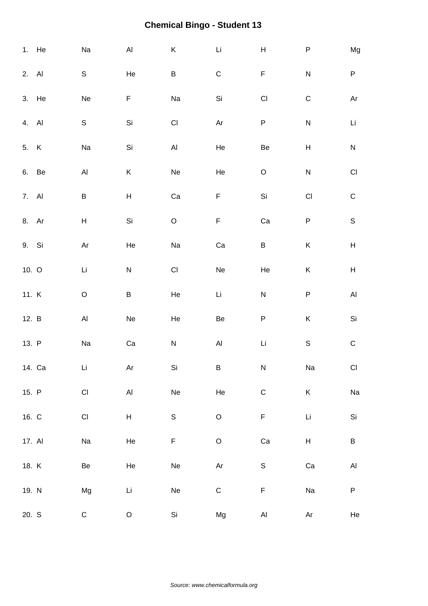|         | 1. He  | Na                        | $\mathsf{Al}\xspace$ | $\sf K$              | $\mathsf{Li}$        | $\mathsf{H}% _{\mathbb{R}}^{1}\left( \mathbb{R}^{2}\right)$ | ${\sf P}$              | Mg                        |
|---------|--------|---------------------------|----------------------|----------------------|----------------------|-------------------------------------------------------------|------------------------|---------------------------|
| 2. Al   |        | ${\sf S}$                 | He                   | B                    | $\mathsf C$          | $\mathsf F$                                                 | ${\sf N}$              | ${\sf P}$                 |
| 3. He   |        | Ne                        | F                    | Na                   | $\mathsf{Si}\xspace$ | $\mathsf{CI}\xspace$                                        | $\mathsf C$            | Ar                        |
| 4. Al   |        | $\mathsf S$               | Si                   | CI                   | $\mathsf{Ar}$        | P                                                           | ${\sf N}$              | Li                        |
| 5. K    |        | $\operatorname{\sf Na}$   | Si                   | $\mathsf{Al}\xspace$ | He                   | Be                                                          | Н                      | ${\sf N}$                 |
| 6. Be   |        | $\mathsf{Al}\xspace$      | Κ                    | Ne                   | He                   | $\mathsf O$                                                 | ${\sf N}$              | $\mathsf{C}\mathsf{I}$    |
| 7. Al   |        | B                         | $H_{\parallel}$      | Ca                   | $\mathsf F$          | Si                                                          | $\mathsf{C}\mathsf{I}$ | ${\bf C}$                 |
| 8. Ar   |        | $\boldsymbol{\mathsf{H}}$ | Si                   | $\mathsf O$          | $\mathsf F$          | $\rm Ca$                                                    | ${\sf P}$              | $\mathsf S$               |
| 9. Si   |        | Ar                        | He                   | Na                   | Ca                   | $\sf B$                                                     | Κ                      | $\boldsymbol{\mathsf{H}}$ |
| 10. $O$ |        | Li                        | ${\sf N}$            | CI                   | Ne                   | He                                                          | Κ                      | $\boldsymbol{\mathsf{H}}$ |
| 11. K   |        | $\mathsf O$               | B                    | He                   | Li                   | ${\sf N}$                                                   | ${\sf P}$              | $\mathsf{Al}\xspace$      |
| 12. B   |        | $\mathsf{Al}\xspace$      | Ne                   | He                   | Be                   | ${\sf P}$                                                   | Κ                      | Si                        |
| 13. P   |        | $\rm Na$                  | ${\rm Ca}$           | ${\sf N}$            | $\mathsf{Al}\xspace$ | Li                                                          | $\mathbb S$            | ${\bf C}$                 |
|         | 14. Ca | Li                        | Ar                   | Si                   | B                    | ${\sf N}$                                                   | Na                     | Cl                        |
| 15. P   |        | $\mathsf{C}\mathsf{I}$    | $\mathsf{Al}\xspace$ | Ne                   | $\rm He$             | $\mathsf C$                                                 | K                      | $\operatorname{\sf Na}$   |
| 16. C   |        | $\mathsf{CI}%$            | $\mathsf H$          | $\mathsf S$          | $\mathsf O$          | $\mathsf F$                                                 | Li                     | $\mathsf{Si}\xspace$      |
| 17. Al  |        | Na                        | He                   | F                    | $\mathsf O$          | $\rm Ca$                                                    | H                      | $\sf B$                   |
| 18. K   |        | Be                        | He                   | Ne                   | Ar                   | $\mathsf S$                                                 | Ca                     | $\mathsf{Al}\xspace$      |
| 19. N   |        | Mg                        | Li                   | Ne                   | $\mathsf C$          | $\mathsf F$                                                 | Na                     | ${\sf P}$                 |
| 20. S   |        | ${\mathsf C}$             | $\circ$              | Si                   | Mg                   | $\mathsf{Al}\xspace$                                        | Ar                     | He                        |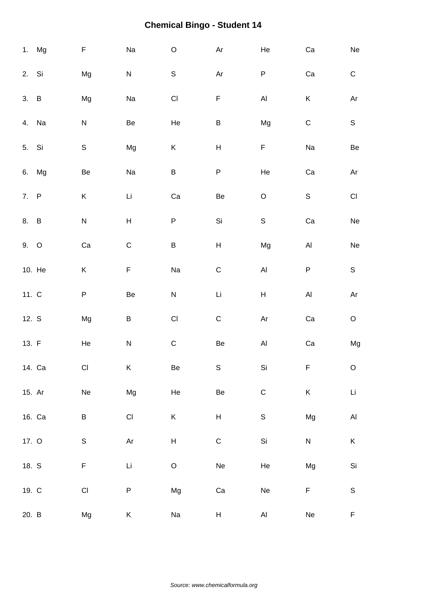|        | 1. Mg  | F                            | Na                        | $\mathsf O$          | $\mathsf{Ar}$             | He                                                                                        | Ca                   | ${\sf Ne}$                                                 |
|--------|--------|------------------------------|---------------------------|----------------------|---------------------------|-------------------------------------------------------------------------------------------|----------------------|------------------------------------------------------------|
| 2. Si  |        | Mg                           | ${\sf N}$                 | $\mathsf S$          | Ar                        | ${\sf P}$                                                                                 | Ca                   | ${\bf C}$                                                  |
| 3. B   |        | Mg                           | Na                        | $\mathsf{CI}\xspace$ | $\mathsf F$               | $\mathsf{Al}\xspace$                                                                      | $\sf K$              | $\mathsf{Ar}$                                              |
| 4. Na  |        | ${\sf N}$                    | Be                        | He                   | $\sf B$                   | Mg                                                                                        | ${\bf C}$            | $\mathsf S$                                                |
| 5. Si  |        | $\mathsf S$                  | Mg                        | K                    | $\boldsymbol{\mathsf{H}}$ | F                                                                                         | Na                   | $\mbox{\sf Be}$                                            |
|        | 6. Mg  | Be                           | Na                        | B                    | $\sf P$                   | He                                                                                        | Ca                   | $\mathsf{Ar}% _{\mathsf{C}}^{\mathsf{C}}(\mathcal{M}_{0})$ |
| 7. P   |        | K                            | Li                        | Ca                   | Be                        | $\hbox{O}$                                                                                | $\mathsf S$          | $\mathsf{Cl}% _{C}$                                        |
| 8. B   |        | ${\sf N}$                    | $\boldsymbol{\mathsf{H}}$ | P                    | Si                        | $\mathsf S$                                                                               | $\rm Ca$             | ${\sf Ne}$                                                 |
| $9.$ O |        | Ca                           | $\mathsf C$               | B                    | $\overline{\mathsf{H}}$   | Mg                                                                                        | $\mathsf{Al}\xspace$ | Ne                                                         |
|        | 10. He | Κ                            | F                         | Na                   | $\mathsf C$               | $\mathsf{Al}\xspace$                                                                      | ${\sf P}$            | $\mathsf S$                                                |
| 11. C  |        | P                            | Be                        | ${\sf N}$            | Li                        | $\boldsymbol{\mathsf{H}}$                                                                 | $\mathsf{Al}\xspace$ | $\mathsf{Ar}$                                              |
| 12. S  |        | Mg                           | $\sf B$                   | $\mathsf{CI}\xspace$ | $\mathsf C$               | $\mathsf{Ar}% _{T}=\mathsf{Ar}_{T}\!\left( a,b\right) ,\ \mathsf{Ar}_{T}=\mathsf{Ar}_{T}$ | Ca                   | $\mathsf O$                                                |
| 13. F  |        | He                           | ${\sf N}$                 | $\mathsf C$          | Be                        | $\mathsf{Al}\hspace{0.05cm}$                                                              | ${\rm Ca}$           | Mg                                                         |
|        | 14. Ca | CI                           | K                         | Be                   | S                         | Si                                                                                        | F                    | $\circ$                                                    |
| 15. Ar |        | $\operatorname{\mathsf{Ne}}$ | Mg                        | He                   | Be                        | $\mathsf C$                                                                               | $\sf K$              | $\mathsf{Li}\xspace$                                       |
|        | 16. Ca | B                            | $\mathsf{CI}\xspace$      | K                    | $\overline{\mathsf{H}}$   | $\mathbb S$                                                                               | Mg                   | $\mathsf{Al}\xspace$                                       |
| 17. O  |        | $\mathsf S$                  | $\mathsf{Ar}$             | H                    | $\mathsf C$               | Si                                                                                        | ${\sf N}$            | $\sf K$                                                    |
| 18. S  |        | F                            | $\mathsf{Li}\xspace$      | $\mathsf O$          | Ne                        | He                                                                                        | Mg                   | $\mathsf{Si}\xspace$                                       |
| 19. C  |        | $\mathsf{CI}$                | P                         | Mg                   | ${\rm Ca}$                | $\operatorname{\sf Ne}$                                                                   | $\mathsf F$          | $\mathbb S$                                                |
| 20. B  |        | Mg                           | K                         | Na                   | H                         | AI                                                                                        | ${\sf Ne}$           | F                                                          |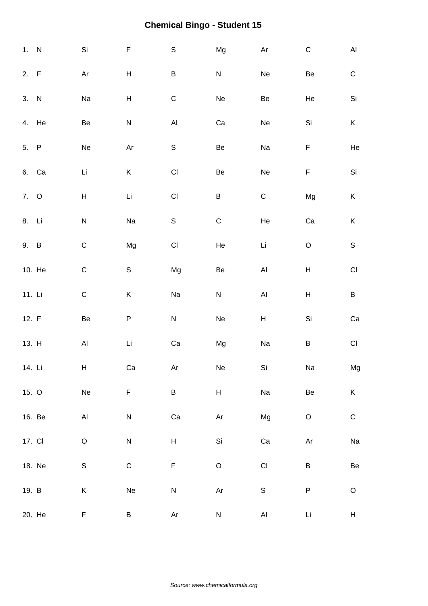| 1. N     |        | Si                        | $\mathsf F$               | $\mathbb S$                                                                               | Mg                           | Ar                           | $\mathsf C$                         | $\mathsf{Al}\xspace$      |
|----------|--------|---------------------------|---------------------------|-------------------------------------------------------------------------------------------|------------------------------|------------------------------|-------------------------------------|---------------------------|
| 2. F     |        | Ar                        | $\boldsymbol{\mathsf{H}}$ | $\sf B$                                                                                   | N                            | $\operatorname{\mathsf{Ne}}$ | Be                                  | ${\bf C}$                 |
| 3. N     |        | Na                        | $\boldsymbol{\mathsf{H}}$ | $\mathsf C$                                                                               | Ne                           | Be                           | He                                  | Si                        |
| 4. He    |        | Be                        | ${\sf N}$                 | $\mathsf{Al}\hspace{0.04cm}$                                                              | Ca                           | Ne                           | Si                                  | K                         |
| 5. P     |        | Ne                        | Ar                        | $\mathsf S$                                                                               | Be                           | Na                           | F                                   | He                        |
| 6. Ca    |        | Li                        | Κ                         | $\mathsf{CI}%$                                                                            | Be                           | $\operatorname{\sf Ne}$      | $\mathsf F$                         | Si                        |
| 7. O     |        | $\boldsymbol{\mathsf{H}}$ | Li                        | $\mathsf{CI}%$                                                                            | $\sf B$                      | ${\bf C}$                    | Mg                                  | $\mathsf K$               |
| 8. Li    |        | N                         | Na                        | $\mathbb S$                                                                               | ${\bf C}$                    | He                           | Ca                                  | $\mathsf K$               |
| 9. B     |        | $\mathsf C$               | Mg                        | $\mathsf{CI}%$                                                                            | He                           | Li                           | $\mathsf O$                         | $\mathsf S$               |
|          | 10. He | $\mathsf C$               | $\mathsf S$               | Mg                                                                                        | Be                           | $\mathsf{Al}\hspace{0.04cm}$ | $\boldsymbol{\mathsf{H}}$           | $\mathsf{C}\mathsf{I}$    |
| 11. $Li$ |        | $\mathsf C$               | Κ                         | Na                                                                                        | ${\sf N}$                    | $\mathsf{Al}\hspace{0.04cm}$ | $\boldsymbol{\mathsf{H}}$           | $\sf B$                   |
| 12. F    |        | Be                        | P                         | ${\sf N}$                                                                                 | Ne                           | $\boldsymbol{\mathsf{H}}$    | Si                                  | Ca                        |
| 13. H    |        | $\mathsf{Al}\xspace$      | Li                        | ${\rm Ca}$                                                                                | Mg                           | Na                           | $\sf B$                             | $\mathsf{C}\mathsf{I}$    |
| 14. Li   |        | H                         | ${\rm Ca}$                | $\mathsf{Ar}% _{T}=\mathsf{Ar}_{T}\!\left( a,b\right) ,\ \mathsf{Ar}_{T}=\mathsf{Ar}_{T}$ | $\operatorname{\mathsf{Ne}}$ | Si                           | Na                                  | Mg                        |
| 15. O    |        | Ne                        | F                         | $\sf B$                                                                                   | H                            | Na                           | Be                                  | $\mathsf K$               |
|          | 16. Be | $\mathsf{Al}\xspace$      | ${\sf N}$                 | ${\rm Ca}$                                                                                | $\mathsf{Ar}$                | Mg                           | $\mathsf O$                         | ${\bf C}$                 |
| 17. CI   |        | $\mathsf O$               | ${\sf N}$                 | $H_{\parallel}$                                                                           | Si                           | Ca                           | $\mathsf{Ar}% _{T}=\mathsf{Ar}_{T}$ | Na                        |
| 18. Ne   |        | $\mathsf S$               | $\mathsf C$               | $\mathsf F$                                                                               | $\mathsf O$                  | $\mathsf{CI}\xspace$         | $\sf B$                             | $\mbox{\sf Be}$           |
| 19. B    |        | Κ                         | $\operatorname{\sf Ne}$   | ${\sf N}$                                                                                 | $\mathsf{Ar}$                | $\mathsf S$                  | $\sf P$                             | $\mathsf O$               |
|          | 20. He | F                         | B                         | Ar                                                                                        | ${\sf N}$                    | AI                           | Li                                  | $\boldsymbol{\mathsf{H}}$ |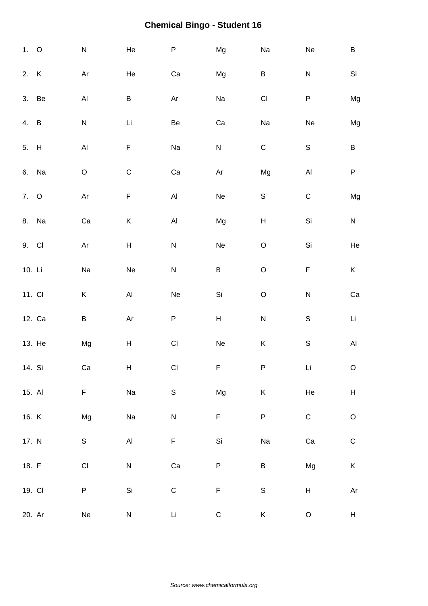| 1. 0   |        | ${\sf N}$                                                  | He                           | ${\sf P}$               | Mg                           | Na                        | Ne                        | $\sf B$                   |
|--------|--------|------------------------------------------------------------|------------------------------|-------------------------|------------------------------|---------------------------|---------------------------|---------------------------|
| 2. K   |        | Ar                                                         | He                           | Ca                      | Mg                           | $\sf B$                   | ${\sf N}$                 | Si                        |
| 3. Be  |        | $\mathsf{Al}\xspace$                                       | B                            | Ar                      | Na                           | $\mathsf{C}\mathsf{I}$    | P                         | Mg                        |
| 4. B   |        | ${\sf N}$                                                  | Li                           | Be                      | Ca                           | Na                        | Ne                        | Mg                        |
| 5. H   |        | $\mathsf{Al}\xspace$                                       | F                            | Na                      | ${\sf N}$                    | $\mathsf C$               | $\mathsf S$               | $\sf B$                   |
| 6. Na  |        | $\mathsf O$                                                | $\mathsf C$                  | ${\rm Ca}$              | $\mathsf{Ar}$                | Mg                        | $\mathsf{Al}\xspace$      | ${\sf P}$                 |
| 7. O   |        | $\mathsf{Ar}% _{\mathsf{C}}^{\mathsf{C}}(\mathcal{M}_{0})$ | $\mathsf F$                  | AI                      | Ne                           | $\mathsf S$               | $\mathsf C$               | Mg                        |
|        | 8. Na  | Ca                                                         | K                            | Al                      | Mg                           | $\boldsymbol{\mathsf{H}}$ | $\mathsf{Si}\xspace$      | ${\sf N}$                 |
| 9. CI  |        | Ar                                                         | $H_{\parallel}$              | ${\sf N}$               | Ne                           | $\mathsf O$               | $\mathsf{Si}\xspace$      | He                        |
| 10. Li |        | Na                                                         | Ne                           | ${\sf N}$               | $\sf B$                      | $\mathsf O$               | F                         | K.                        |
| 11. CI |        | Κ                                                          | $\mathsf{Al}\xspace$         | Ne                      | $\mathsf{Si}\xspace$         | $\mathsf O$               | ${\sf N}$                 | ${\rm Ca}$                |
|        | 12. Ca | $\sf B$                                                    | Ar                           | ${\sf P}$               | H                            | ${\sf N}$                 | $\mathbb S$               | Li                        |
|        | 13. He | Mg                                                         | $\boldsymbol{\mathsf{H}}$    | $\mathsf{CI}\xspace$    | $\operatorname{\mathsf{Ne}}$ | $\sf K$                   | $\mathbb S$               | $\mathsf{Al}\xspace$      |
| 14. Si |        | Ca                                                         | $\boldsymbol{\mathsf{H}}$    | $\mathsf{CI}\xspace$    | $\mathsf F$                  | $\sf P$                   | Li                        | $\mathsf O$               |
| 15. Al |        | F                                                          | Na                           | $\mathsf S$             | Mg                           | $\sf K$                   | He                        | $\boldsymbol{\mathsf{H}}$ |
| 16. K  |        | Mg                                                         | Na                           | $\overline{\mathsf{N}}$ | $\mathsf F$                  | $\sf P$                   | ${\bf C}$                 | $\mathsf O$               |
| 17. N  |        | S                                                          | $\mathsf{Al}\hspace{0.04cm}$ | F                       | Si                           | Na                        | ${\rm Ca}$                | ${\bf C}$                 |
| 18. F  |        | $\mathsf{CI}\xspace$                                       | ${\sf N}$                    | ${\rm Ca}$              | P                            | $\sf B$                   | Mg                        | K                         |
| 19. CI |        | P                                                          | Si                           | $\mathsf C$             | $\mathsf F$                  | $\mathbb S$               | $\boldsymbol{\mathsf{H}}$ | $\mathsf{Ar}$             |
| 20. Ar |        | Ne                                                         | ${\sf N}$                    | Li                      | ${\bf C}$                    | $\sf K$                   | $\mathsf O$               | H                         |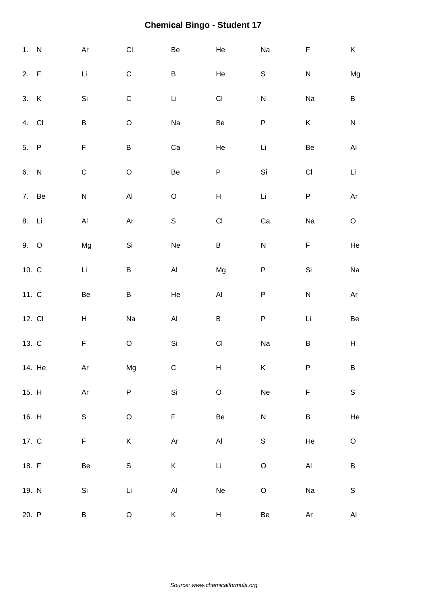| 1. N    |        | $\mathsf{Ar}$                                                                             | $\mathsf{C}\mathsf{I}$ | Be                                                                                        | He                           | Na                       | F                       | K                    |
|---------|--------|-------------------------------------------------------------------------------------------|------------------------|-------------------------------------------------------------------------------------------|------------------------------|--------------------------|-------------------------|----------------------|
| 2. F    |        | Li                                                                                        | $\mathsf C$            | B                                                                                         | He                           | $\mathbb S$              | ${\sf N}$               | Mg                   |
| 3. K    |        | Si                                                                                        | $\mathsf C$            | Li                                                                                        | $\mathsf{CI}\xspace$         | ${\sf N}$                | Na                      | $\sf B$              |
| 4. CI   |        | $\sf B$                                                                                   | $\mathsf O$            | Na                                                                                        | Be                           | ${\sf P}$                | Κ                       | ${\sf N}$            |
| 5. P    |        | $\mathsf F$                                                                               | B                      | Ca                                                                                        | He                           | $\mathop{\hbox{\rm Li}}$ | Be                      | $\mathsf{Al}\xspace$ |
| 6. N    |        | $\mathsf C$                                                                               | $\mathsf O$            | Be                                                                                        | ${\sf P}$                    | Si                       | $\mathsf{C}\mathsf{I}$  | Li                   |
|         | 7. Be  | ${\sf N}$                                                                                 | $\overline{A}$         | $\mathsf O$                                                                               | $\overline{\mathsf{H}}$      | $\mathsf{Li}\xspace$     | $\sf P$                 | Ar                   |
| 8. Li   |        | $\mathsf{Al}\hspace{0.04cm}$                                                              | Ar                     | $\mathsf S$                                                                               | $\mathsf{Cl}% _{C}$          | Ca                       | Na                      | $\mathsf O$          |
| 9. O    |        | Mg                                                                                        | Si                     | Ne                                                                                        | B                            | ${\sf N}$                | F                       | $\rm He$             |
| 10. $C$ |        | Li                                                                                        | B                      | Al                                                                                        | Mg                           | ${\sf P}$                | $\mathsf{Si}\xspace$    | Na                   |
| 11. C   |        | Be                                                                                        | B                      | He                                                                                        | $\mathsf{Al}\xspace$         | ${\sf P}$                | ${\sf N}$               | Ar                   |
| 12. CI  |        | H                                                                                         | Na                     | AI                                                                                        | $\sf B$                      | ${\sf P}$                | Li                      | $\mbox{\sf Be}$      |
| 13. C   |        | $\mathsf F$                                                                               | $\mathsf O$            | Si                                                                                        | $\mathsf{Cl}% _{C}$          | Na                       | $\sf B$                 | H                    |
|         | 14. He | $\mathsf{Ar}$                                                                             | Mg                     | $\mathsf C$                                                                               | H                            | K                        | ${\sf P}$               | $\sf B$              |
| 15. H   |        | $\mathsf{Ar}% _{T}=\mathsf{Ar}_{T}\!\left( a,b\right) ,\ \mathsf{Ar}_{T}=\mathsf{Ar}_{T}$ | P                      | Si                                                                                        | $\hbox{O}$                   | Ne                       | F                       | $\mathsf S$          |
| 16. H   |        | $\mathsf S$                                                                               | $\mathsf O$            | F                                                                                         | Be                           | ${\sf N}$                | $\sf B$                 | $\rm He$             |
| 17. C   |        | F                                                                                         | K                      | $\mathsf{Ar}% _{T}=\mathsf{Ar}_{T}\!\left( a,b\right) ,\ \mathsf{Ar}_{T}=\mathsf{Ar}_{T}$ | $\mathsf{Al}\xspace$         | $\mathbb S$              | He                      | $\mathsf O$          |
| 18. F   |        | Be                                                                                        | $\mathsf S$            | K                                                                                         | Li                           | $\mathsf O$              | $\mathsf{Al}\xspace$    | B                    |
| 19. N   |        | Si                                                                                        | $\mathsf{Li}\xspace$   | $\mathsf{Al}$                                                                             | $\operatorname{\mathsf{Ne}}$ | $\hbox{O}$               | $\operatorname{\sf Na}$ | $\mathbb S$          |
| 20. P   |        | Β                                                                                         | $\mathsf O$            | K                                                                                         | H                            | $\mbox{\sf Be}$          | Ar                      | $\mathsf{Al}\xspace$ |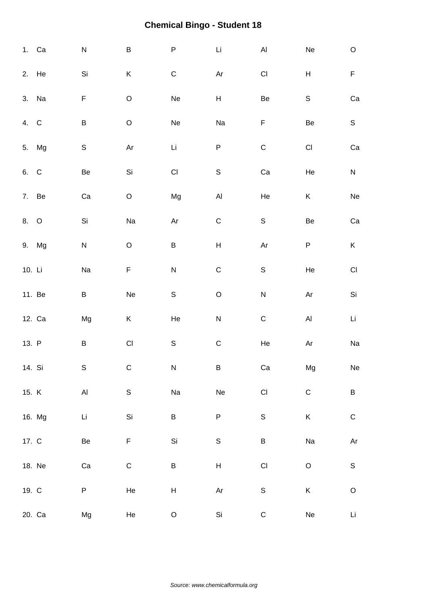|        | 1. Ca  | ${\sf N}$            | B           | $\sf P$                 | $\mathop{\rm Li}\nolimits$   | $\mathsf{Al}\hspace{0.04cm}$ | Ne                                  | $\mathsf O$                                                                               |
|--------|--------|----------------------|-------------|-------------------------|------------------------------|------------------------------|-------------------------------------|-------------------------------------------------------------------------------------------|
|        | 2. He  | Si                   | Κ           | $\mathsf C$             | $\mathsf{Ar}$                | $\mathsf{Cl}% _{C}$          | Н                                   | $\mathsf F$                                                                               |
|        | 3. Na  | F                    | $\mathsf O$ | Ne                      | H                            | $\mbox{\sf Be}$              | $\mathsf S$                         | $\rm Ca$                                                                                  |
| 4. C   |        | $\sf B$              | $\hbox{O}$  | Ne                      | Na                           | $\mathsf F$                  | Be                                  | $\mathsf S$                                                                               |
|        | 5. Mg  | $\mathsf S$          | Ar          | Li                      | $\sf P$                      | ${\bf C}$                    | $\mathsf{CI}\xspace$                | Ca                                                                                        |
| 6. C   |        | Be                   | Si          | $\mathsf{CI}\xspace$    | $\mathsf S$                  | $\rm Ca$                     | He                                  | ${\sf N}$                                                                                 |
|        | 7. Be  | ${\rm Ca}$           | $\mathsf O$ | Mg                      | $\mathsf{Al}$                | He                           | K                                   | $\operatorname{\mathsf{Ne}}$                                                              |
| 8. O   |        | Si                   | Na          | Ar                      | ${\bf C}$                    | $\mathsf S$                  | Be                                  | ${\rm Ca}$                                                                                |
|        | 9. Mg  | ${\sf N}$            | $\mathsf O$ | $\sf B$                 | $\boldsymbol{\mathsf{H}}$    | Ar                           | P                                   | K                                                                                         |
| 10. Li |        | Na                   | F           | $\overline{\mathsf{N}}$ | $\mathsf C$                  | $\mathsf S$                  | He                                  | $\mathsf{CI}\xspace$                                                                      |
|        | 11. Be | B                    | Ne          | $\mathsf S$             | $\hbox{O}$                   | $\overline{\mathsf{N}}$      | Ar                                  | Si                                                                                        |
|        | 12. Ca | Mg                   | Κ           | He                      | ${\sf N}$                    | $\mathsf C$                  | $\mathsf{Al}\xspace$                | Li                                                                                        |
| 13. P  |        | $\sf B$              | CI          | $\mathsf S$             | $\mathsf C$                  | He                           | $\mathsf{Ar}% _{T}=\mathsf{Ar}_{T}$ | $\operatorname{\sf Na}$                                                                   |
| 14. Si |        | S                    | $\mathsf C$ | ${\sf N}$               | B                            | ${\rm Ca}$                   | Mg                                  | ${\sf Ne}$                                                                                |
| 15. K  |        | $\mathsf{Al}\xspace$ | $\mathbb S$ | Na                      | $\operatorname{\mathsf{Ne}}$ | $\mathsf{Cl}% _{C}$          | $\mathsf C$                         | $\sf B$                                                                                   |
|        | 16. Mg | $\mathsf{Li}\xspace$ | Si          | B                       | $\sf P$                      | $\mathsf S$                  | $\sf K$                             | ${\bf C}$                                                                                 |
| 17. C  |        | Be                   | F           | Si                      | $\mathbb S$                  | $\sf B$                      | Na                                  | $\mathsf{Ar}% _{T}=\mathsf{Ar}_{T}\!\left( a,b\right) ,\ \mathsf{Ar}_{T}=\mathsf{Ar}_{T}$ |
|        | 18. Ne | Ca                   | $\mathsf C$ | B                       | $\boldsymbol{\mathsf{H}}$    | $\mathsf{CI}$                | $\mathsf O$                         | $\mathbb S$                                                                               |
| 19. C  |        | P                    | He          | $\mathsf{H}$            | $\mathsf{Ar}$                | $\mathsf S$                  | K                                   | $\mathsf O$                                                                               |
|        | 20. Ca | Mg                   | He          | $\mathsf O$             | Si                           | ${\bf C}$                    | Ne                                  | $\mathop{\rm Li}\nolimits$                                                                |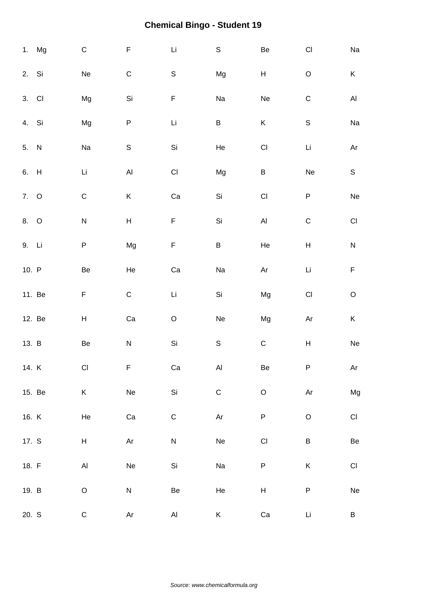|        | 1. Mg  | $\mathsf C$          | F                         | Li                   | $\mathsf S$             | Be                           | $\mathsf{C}\mathsf{I}$    | Na                           |
|--------|--------|----------------------|---------------------------|----------------------|-------------------------|------------------------------|---------------------------|------------------------------|
| 2. Si  |        | Ne                   | $\mathsf C$               | $\mathsf S$          | Mg                      | H                            | $\mathsf O$               | $\sf K$                      |
| 3. CI  |        | Mg                   | Si                        | F                    | Na                      | Ne                           | $\mathsf C$               | $\mathsf{Al}\xspace$         |
| 4. Si  |        | Mg                   | P                         | Li                   | B                       | Κ                            | $\mathbb S$               | Na                           |
| 5. N   |        | Na                   | $\mathsf S$               | Si                   | He                      | $\mathsf{CI}\xspace$         | Li                        | $\mathsf{Ar}$                |
| 6. H   |        | Li                   | $\mathsf{Al}\xspace$      | $\mathsf{CI}\xspace$ | Mg                      | $\sf B$                      | $\operatorname{\sf Ne}$   | $\mathsf S$                  |
| 7. O   |        | $\mathsf C$          | K                         | Ca                   | Si                      | $\mathsf{CI}\xspace$         | $\sf P$                   | ${\sf Ne}$                   |
| 8. O   |        | ${\sf N}$            | $\boldsymbol{\mathsf{H}}$ | F                    | $\mathsf{Si}\xspace$    | $\mathsf{Al}\hspace{0.05cm}$ | $\mathsf C$               | $\mathsf{C}\mathsf{I}$       |
| 9. Li  |        | P                    | Mg                        | $\mathsf F$          | $\sf B$                 | He                           | $\boldsymbol{\mathsf{H}}$ | ${\sf N}$                    |
| 10. P  |        | Be                   | He                        | Ca                   | Na                      | Ar                           | Li                        | F                            |
|        | 11. Be | F                    | $\mathsf C$               | Li                   | Si                      | Mg                           | $\mathsf{C}\mathsf{I}$    | $\mathsf O$                  |
|        | 12. Be | H                    | Ca                        | $\mathsf O$          | ${\sf Ne}$              | Mg                           | Ar                        | $\sf K$                      |
| 13. B  |        | Be                   | ${\sf N}$                 | Si                   | $\mathsf S$             | $\mathsf C$                  | $\boldsymbol{\mathsf{H}}$ | $\operatorname{\mathsf{Ne}}$ |
| 14. K  |        | CI                   | F                         | Ca                   | AI                      | Be                           | P                         | Ar                           |
| 15. Be |        | K                    | $\operatorname{\sf Ne}$   | Si                   | $\mathsf C$             | $\mathsf O$                  | $\mathsf{Ar}$             | Mg                           |
| 16. K  |        | He                   | ${\rm Ca}$                | $\mathsf C$          | $\mathsf{Ar}$           | $\sf P$                      | $\mathsf O$               | $\mathsf{Cl}% _{C}$          |
| 17. S  |        | H                    | $\mathsf{Ar}$             | ${\sf N}$            | $\operatorname{\sf Ne}$ | $\mathsf{CI}\xspace$         | B                         | $\mbox{\sf Be}$              |
| 18. F  |        | $\mathsf{Al}\xspace$ | Ne                        | Si                   | Na                      | ${\sf P}$                    | Κ                         | $\mathsf{C}\mathsf{I}$       |
| 19. B  |        | $\mathsf O$          | ${\sf N}$                 | Be                   | He                      | $\boldsymbol{\mathsf{H}}$    | $\sf P$                   | Ne                           |
| 20. S  |        | $\mathsf C$          | Ar                        | Al                   | K                       | Ca                           | Li                        | B                            |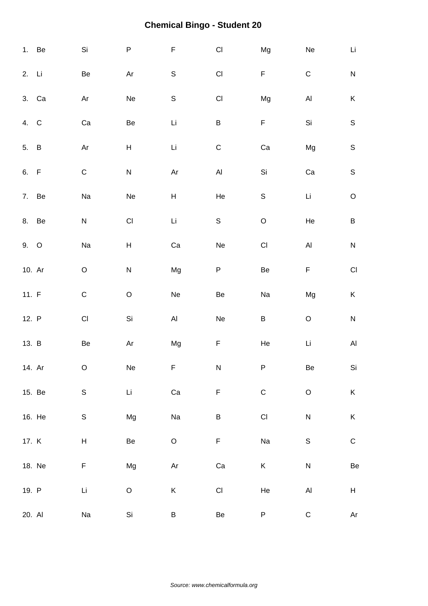|         | 1. Be  | Si                     | $\sf P$                   | $\mathsf F$                  | $\mathsf{CI}%$         | Mg                   | Ne                   | Li                   |
|---------|--------|------------------------|---------------------------|------------------------------|------------------------|----------------------|----------------------|----------------------|
| 2. Li   |        | Be                     | Ar                        | $\mathbb S$                  | $\mathsf{C}\mathsf{I}$ | F                    | $\mathsf C$          | ${\sf N}$            |
| 3. Ca   |        | Ar                     | Ne                        | $\mathbb S$                  | CI                     | Mg                   | $\mathsf{Al}\xspace$ | $\sf K$              |
| 4. C    |        | $\rm Ca$               | Be                        | Li                           | $\sf B$                | $\mathsf F$          | Si                   | $\mathsf S$          |
| 5. B    |        | Ar                     | $\boldsymbol{\mathsf{H}}$ | Li                           | $\mathsf C$            | Ca                   | Mg                   | $\mathsf S$          |
| 6. F    |        | $\mathsf C$            | ${\sf N}$                 | Ar                           | $\mathsf{Al}\xspace$   | Si                   | ${\rm Ca}$           | $\mathsf S$          |
| 7. Be   |        | Na                     | Ne                        | $\boldsymbol{\mathsf{H}}$    | He                     | $\mathbb S$          | $\mathsf{Li}\xspace$ | $\mathsf O$          |
| 8. Be   |        | ${\sf N}$              | $\mathsf{Cl}% _{C}$       | Li                           | $\mathbb S$            | $\mathsf O$          | He                   | $\sf B$              |
| 9. O    |        | Na                     | $\boldsymbol{\mathsf{H}}$ | Ca                           | ${\sf Ne}$             | $\mathsf{CI}\xspace$ | $\mathsf{Al}\xspace$ | ${\sf N}$            |
| 10. Ar  |        | $\mathsf O$            | ${\sf N}$                 | Mg                           | P                      | Be                   | $\mathsf F$          | $\mathsf{Cl}% _{C}$  |
| 11. $F$ |        | $\mathsf C$            | $\mathsf O$               | Ne                           | Be                     | Na                   | Mg                   | K                    |
| 12. P   |        | $\mathsf{C}\mathsf{I}$ | Si                        | $\mathsf{Al}\hspace{0.04cm}$ | Ne                     | $\sf B$              | $\mathsf O$          | ${\sf N}$            |
| 13. B   |        | $\mbox{\sf Be}$        | $\mathsf{Ar}$             | Mg                           | F                      | He                   | Li                   | $\mathsf{Al}\xspace$ |
| 14. Ar  |        | $\circ$                | Ne                        | F                            | N                      | P                    | Be                   | Si                   |
|         | 15. Be | $\mathbb S$            | $\mathsf{Li}$             | ${\rm Ca}$                   | F                      | $\mathsf C$          | $\mathsf O$          | $\mathsf K$          |
|         | 16. He | $\mathbb S$            | Mg                        | Na                           | B                      | $\mathsf{CI}\xspace$ | ${\sf N}$            | $\sf K$              |
| 17. K   |        | H                      | $\mbox{\sf Be}$           | $\mathsf O$                  | F                      | Na                   | $\mathbb S$          | ${\bf C}$            |
|         | 18. Ne | F                      | Mg                        | Ar                           | Ca                     | K                    | ${\sf N}$            | Be                   |
| 19. P   |        | Li                     | $\mathsf O$               | K                            | $\mathsf{CI}\xspace$   | He                   | $\mathsf{Al}\xspace$ | H                    |
| 20. Al  |        | Na                     | Si                        | B                            | Be                     | ${\sf P}$            | ${\mathsf C}$        | Ar                   |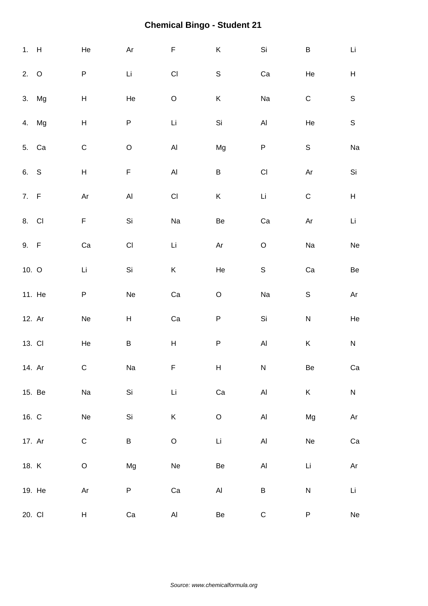| 1. H    |        | He                                                                                        | Ar                        | $\mathsf F$                  | $\mathsf K$          | $\mathsf{Si}\xspace$         | $\sf B$                             | Li                                                                                        |
|---------|--------|-------------------------------------------------------------------------------------------|---------------------------|------------------------------|----------------------|------------------------------|-------------------------------------|-------------------------------------------------------------------------------------------|
| 2. O    |        | ${\sf P}$                                                                                 | Li                        | $\mathsf{CI}\xspace$         | $\mathsf S$          | Ca                           | He                                  | H                                                                                         |
|         | 3. Mg  | $\boldsymbol{\mathsf{H}}$                                                                 | He                        | $\mathsf O$                  | K                    | Na                           | $\mathsf C$                         | $\mathsf S$                                                                               |
|         | 4. Mg  | $\boldsymbol{\mathsf{H}}$                                                                 | P                         | Li                           | Si                   | $\mathsf{Al}\hspace{0.04cm}$ | He                                  | $\mathsf S$                                                                               |
| 5. Ca   |        | $\mathsf C$                                                                               | $\hbox{O}$                | $\mathsf{Al}\xspace$         | Mg                   | $\sf P$                      | $\mathsf S$                         | Na                                                                                        |
| 6. S    |        | $\boldsymbol{\mathsf{H}}$                                                                 | $\mathsf F$               | $\mathsf{Al}\hspace{0.04cm}$ | $\sf B$              | $\mathsf{Cl}% _{C}$          | $\mathsf{Ar}% _{T}=\mathsf{Ar}_{T}$ | $\mathsf{Si}\xspace$                                                                      |
| 7. $F$  |        | $\mathsf{Ar}% _{T}=\mathsf{Ar}_{T}\!\left( a,b\right) ,\ \mathsf{Ar}_{T}=\mathsf{Ar}_{T}$ | $\mathsf{Al}\xspace$      | $\mathsf{CI}\xspace$         | $\sf K$              | $\mathsf{Li}$                | $\mathsf C$                         | $\boldsymbol{\mathsf{H}}$                                                                 |
| 8. CI   |        | F                                                                                         | Si                        | Na                           | $\mbox{\sf Be}$      | Ca                           | Ar                                  | Li                                                                                        |
| 9. F    |        | Ca                                                                                        | $\mathsf{CI}$             | Li                           | Ar                   | $\hbox{O}$                   | Na                                  | $\operatorname{\sf Ne}$                                                                   |
| 10. $O$ |        | Li                                                                                        | Si                        | $\sf K$                      | He                   | $\mathsf S$                  | Ca                                  | Be                                                                                        |
|         | 11. He | P                                                                                         | Ne                        | Ca                           | $\mathsf O$          | Na                           | $\mathsf S$                         | $\mathsf{Ar}% _{T}=\mathsf{Ar}_{T}\!\left( a,b\right) ,\ \mathsf{Ar}_{T}=\mathsf{Ar}_{T}$ |
| 12. Ar  |        | Ne                                                                                        | $\boldsymbol{\mathsf{H}}$ | Ca                           | $\sf P$              | $\mathsf{Si}\xspace$         | $\overline{\mathsf{N}}$             | He                                                                                        |
| 13. CI  |        | He                                                                                        | Β                         | $\boldsymbol{\mathsf{H}}$    | ${\sf P}$            | $\mathsf{Al}\xspace$         | Κ                                   | ${\sf N}$                                                                                 |
| 14. Ar  |        | $\mathsf C$                                                                               | Na                        | F                            | H                    | ${\sf N}$                    | Be                                  | Ca                                                                                        |
|         | 15. Be | Na                                                                                        | Si                        | Li                           | $\rm Ca$             | $\mathsf{Al}\hspace{0.04cm}$ | K                                   | ${\sf N}$                                                                                 |
| 16. C   |        | $\operatorname{\mathsf{Ne}}$                                                              | Si                        | $\sf K$                      | $\mathsf O$          | $\mathsf{Al}\xspace$         | Mg                                  | $\mathsf{Ar}$                                                                             |
| 17. Ar  |        | $\mathsf C$                                                                               | B                         | $\mathsf O$                  | $\mathsf{Li}\xspace$ | $\mathsf{Al}\hspace{0.04cm}$ | Ne                                  | ${\rm Ca}$                                                                                |
| 18. K   |        | $\circ$                                                                                   | Mg                        | Ne                           | Be                   | $\mathsf{Al}\xspace$         | Li                                  | $\mathsf{Ar}$                                                                             |
|         | 19. He | $\mathsf{Ar}% _{T}=\mathsf{Ar}_{T}\!\left( a,b\right) ,\ \mathsf{Ar}_{T}=\mathsf{Ar}_{T}$ | P                         | ${\rm Ca}$                   | $\mathsf{Al}\xspace$ | $\sf B$                      | $\mathsf{N}$                        | Li                                                                                        |
| 20. CI  |        | H                                                                                         | Ca                        | AI                           | Be                   | ${\bf C}$                    | P                                   | Ne                                                                                        |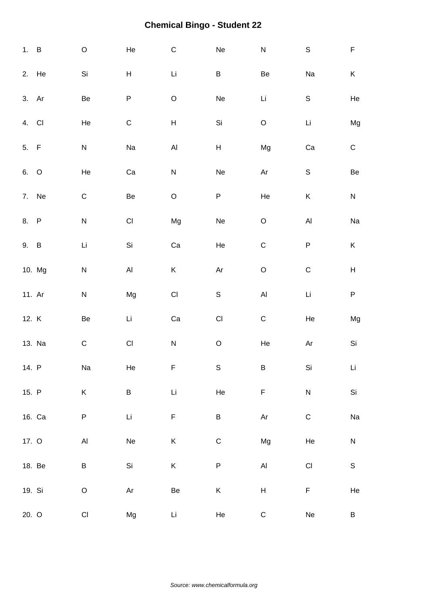| 1. B   |        | $\mathsf O$            | He                           | $\mathsf C$                  | Ne                           | ${\sf N}$                                                                                 | $\mathsf S$                  | F                         |
|--------|--------|------------------------|------------------------------|------------------------------|------------------------------|-------------------------------------------------------------------------------------------|------------------------------|---------------------------|
|        | 2. He  | Si                     | $\boldsymbol{\mathsf{H}}$    | Li                           | $\sf B$                      | $\mbox{\sf Be}$                                                                           | Na                           | K                         |
| 3. Ar  |        | Be                     | P                            | $\mathsf O$                  | Ne                           | Li                                                                                        | $\mathsf S$                  | He                        |
| 4. CI  |        | He                     | $\mathsf C$                  | Н                            | Si                           | $\mathsf O$                                                                               | Li                           | Mg                        |
| 5. F   |        | ${\sf N}$              | Na                           | $\mathsf{Al}\hspace{0.04cm}$ | $\boldsymbol{\mathsf{H}}$    | Mg                                                                                        | Ca                           | ${\bf C}$                 |
| 6. O   |        | He                     | Ca                           | ${\sf N}$                    | $\operatorname{\sf Ne}$      | $\mathsf{Ar}% _{T}=\mathsf{Ar}_{T}\!\left( a,b\right) ,\ \mathsf{Ar}_{T}=\mathsf{Ar}_{T}$ | $\mathsf S$                  | $\mbox{\sf Be}$           |
|        | 7. Ne  | $\mathsf C$            | Be                           | $\mathsf O$                  | ${\sf P}$                    | He                                                                                        | K                            | ${\sf N}$                 |
| 8. P   |        | ${\sf N}$              | $\mathsf{CI}$                | Mg                           | $\operatorname{\mathsf{Ne}}$ | $\hbox{O}$                                                                                | $\mathsf{Al}\xspace$         | Na                        |
| 9. B   |        | Li                     | Si                           | Ca                           | He                           | $\mathsf C$                                                                               | ${\sf P}$                    | Κ                         |
|        | 10. Mg | ${\sf N}$              | $\mathsf{Al}\xspace$         | K                            | Ar                           | $\mathsf O$                                                                               | $\mathsf C$                  | $\boldsymbol{\mathsf{H}}$ |
| 11. Ar |        | ${\sf N}$              | Mg                           | $\mathsf{CI}\xspace$         | $\mathsf S$                  | $\mathsf{Al}\hspace{0.04cm}$                                                              | Li                           | ${\sf P}$                 |
| 12. K  |        | Be                     | Li                           | Ca                           | $\mathsf{Cl}% _{C}$          | $\mathsf C$                                                                               | He                           | Mg                        |
|        | 13. Na | $\mathsf C$            | $\mathsf{CI}$                | ${\sf N}$                    | $\mathsf O$                  | He                                                                                        | Ar                           | Si                        |
| 14. P  |        | Na                     | He                           | F                            | $\mathbb S$                  | B                                                                                         | Si                           | Li                        |
| 15. P  |        | K                      | B                            | $\mathsf{Li}\xspace$         | $\rm He$                     | F                                                                                         | ${\sf N}$                    | Si                        |
|        | 16. Ca | ${\sf P}$              | $\mathsf{Li}$                | $\mathsf F$                  | $\sf B$                      | $\mathsf{Ar}$                                                                             | $\mathsf C$                  | Na                        |
| 17. O  |        | $\mathsf{Al}\xspace$   | $\operatorname{\mathsf{Ne}}$ | $\sf K$                      | $\mathsf C$                  | Mg                                                                                        | He                           | ${\sf N}$                 |
|        | 18. Be | B                      | Si                           | K                            | $\sf P$                      | $\mathsf{Al}\xspace$                                                                      | $\mathsf{C}\mathsf{I}$       | $\mathbb S$               |
| 19. Si |        | $\mathsf O$            | $\mathsf{Ar}$                | Be                           | K                            | $\boldsymbol{\mathsf{H}}$                                                                 | $\mathsf F$                  | He                        |
| 20. O  |        | $\mathsf{C}\mathsf{I}$ | Mg                           | Li                           | He                           | $\mathsf C$                                                                               | $\operatorname{\mathsf{Ne}}$ | B                         |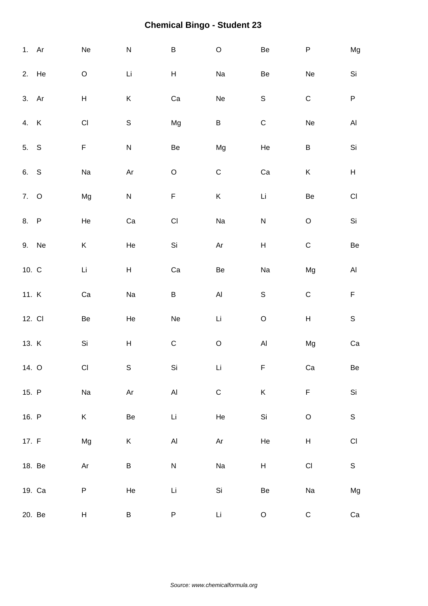| 1. Ar   |        | Ne                      | ${\sf N}$       | $\sf B$                 | $\mathsf O$          | Be                        | ${\sf P}$                 | Mg                           |
|---------|--------|-------------------------|-----------------|-------------------------|----------------------|---------------------------|---------------------------|------------------------------|
|         | 2. He  | $\mathsf O$             | Li              | H                       | Na                   | Be                        | Ne                        | $\mathsf{Si}\xspace$         |
| 3. Ar   |        | $\mathsf H$             | Κ               | Ca                      | Ne                   | $\mathsf S$               | $\mathsf C$               | $\sf P$                      |
| 4. K    |        | $\mathsf{CI}\xspace$    | $\mathsf S$     | Mg                      | B                    | $\mathbf C$               | Ne                        | $\mathsf{Al}\hspace{0.04cm}$ |
| 5. S    |        | F                       | ${\sf N}$       | Be                      | Mg                   | He                        | B                         | $\mathsf{Si}\xspace$         |
| 6. S    |        | Na                      | Ar              | $\mathsf O$             | $\mathsf C$          | Ca                        | Κ                         | $\boldsymbol{\mathsf{H}}$    |
| 7. O    |        | Mg                      | ${\sf N}$       | F                       | K                    | Li                        | Be                        | $\mathsf{C}\mathsf{I}$       |
| 8. P    |        | He                      | Ca              | $\mathsf{C}\mathsf{I}$  | Na                   | ${\sf N}$                 | $\mathsf O$               | $\mathsf{Si}\xspace$         |
|         | 9. Ne  | Κ                       | He              | Si                      | Ar                   | $\boldsymbol{\mathsf{H}}$ | $\mathsf C$               | $\mbox{\sf Be}$              |
| 10. $C$ |        | Li                      | H               | Ca                      | Be                   | Na                        | Mg                        | $\mathsf{Al}\xspace$         |
| 11. K   |        | Ca                      | Na              | $\sf B$                 | $\mathsf{Al}\xspace$ | $\mathsf S$               | $\mathsf C$               | $\mathsf F$                  |
| 12. CI  |        | Be                      | He              | $\operatorname{\sf Ne}$ | $\mathsf{Li}\xspace$ | $\mathsf O$               | $\boldsymbol{\mathsf{H}}$ | $\mathsf S$                  |
| 13. K   |        | Si                      | $H_{\parallel}$ | $\mathsf C$             | $\mathsf O$          | $\mathsf{Al}\xspace$      | Mg                        | ${\rm Ca}$                   |
| 14. O   |        | CI                      | S               | Si                      | Li                   | F                         | Ca                        | Be                           |
| 15. P   |        | $\operatorname{\sf Na}$ | $\mathsf{Ar}$   | $\mathsf{Al}\xspace$    | $\mathsf C$          | $\sf K$                   | F                         | Si                           |
| 16. P   |        | K                       | Be              | Li                      | He                   | Si                        | $\mathsf O$               | $\mathsf S$                  |
| 17. $F$ |        | Mg                      | K               | $\mathsf{Al}\xspace$    | Ar                   | He                        | $H_{\parallel}$           | $\mathsf{C}\mathsf{I}$       |
|         | 18. Be | Ar                      | $\mathsf B$     | ${\sf N}$               | Na                   | H                         | $\mathsf{C}\mathsf{I}$    | $\mathsf S$                  |
|         | 19. Ca | P                       | He              | Li                      | Si                   | Be                        | Na                        | Mg                           |
|         | 20. Be | H                       | B               | ${\sf P}$               | Li                   | $\mathsf O$               | ${\mathsf C}$             | ${\rm Ca}$                   |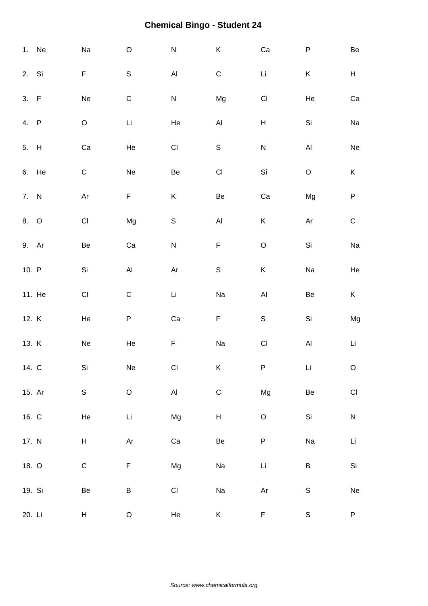|        | 1. Ne  | $\rm Na$                | $\mathsf O$                  | ${\sf N}$            | K                         | Ca                           | ${\sf P}$               | $\mbox{\sf Be}$         |
|--------|--------|-------------------------|------------------------------|----------------------|---------------------------|------------------------------|-------------------------|-------------------------|
| 2. Si  |        | F                       | $\mathsf S$                  | $\mathsf{Al}\xspace$ | $\mathsf C$               | Li                           | $\mathsf K$             | H                       |
| 3. F   |        | $\operatorname{\sf Ne}$ | $\mathsf C$                  | ${\sf N}$            | Mg                        | $\mathsf{Cl}% _{C}$          | He                      | ${\rm Ca}$              |
| 4. P   |        | $\hbox{O}$              | $\mathop{\hbox{\rm Li}}$     | He                   | $\mathsf{Al}\xspace$      | $\boldsymbol{\mathsf{H}}$    | Si                      | Na                      |
| 5. H   |        | ${\rm Ca}$              | He                           | $\mathsf{CI}\xspace$ | $\mathsf S$               | ${\sf N}$                    | $\mathsf{Al}\xspace$    | $\operatorname{\sf Ne}$ |
|        | 6. He  | $\mathsf C$             | ${\sf Ne}$                   | Be                   | $\mathsf{CI}$             | Si                           | $\mathsf O$             | $\sf K$                 |
| 7. N   |        | Ar                      | F                            | $\sf K$              | Be                        | Ca                           | Mg                      | ${\sf P}$               |
| 8. O   |        | $\mathsf{CI}\xspace$    | Mg                           | $\mathsf S$          | $\mathsf{Al}\xspace$      | K                            | Ar                      | ${\bf C}$               |
| 9. Ar  |        | Be                      | Ca                           | ${\sf N}$            | $\mathsf F$               | $\mathsf O$                  | Si                      | $\operatorname{\sf Na}$ |
| 10. P  |        | Si                      | $\mathsf{Al}\hspace{0.04cm}$ | $\mathsf{Ar}$        | $\mathsf S$               | Κ                            | Na                      | He                      |
|        | 11. He | $\mathsf{C}\mathsf{I}$  | $\mathsf C$                  | Li                   | Na                        | $\mathsf{Al}\hspace{0.04cm}$ | Be                      | K                       |
| 12. K  |        | He                      | $\sf P$                      | ${\rm Ca}$           | $\mathsf F$               | $\mathsf S$                  | Si                      | Mg                      |
| 13. K  |        | $\operatorname{\sf Ne}$ | He                           | $\mathsf F$          | Na                        | $\mathsf{CI}\xspace$         | $\mathsf{Al}\xspace$    | Li                      |
| 14. C  |        | Si                      | Ne                           | CI                   | Κ                         | P                            | Li                      | $\mathsf O$             |
| 15. Ar |        | $\mathsf S$             | $\mathsf O$                  | $\mathsf{Al}\xspace$ | $\mathsf C$               | Mg                           | Be                      | $\mathsf{C}\mathsf{I}$  |
| 16. C  |        | He                      | Li                           | Mg                   | $\boldsymbol{\mathsf{H}}$ | $\mathsf O$                  | Si                      | ${\sf N}$               |
| 17. N  |        | H                       | $\mathsf{Ar}$                | ${\rm Ca}$           | Be                        | $\sf P$                      | $\operatorname{\sf Na}$ | $\mathsf{Li}\xspace$    |
| 18. O  |        | $\mathsf C$             | $\mathsf F$                  | Mg                   | Na                        | Li                           | B                       | Si                      |
| 19. Si |        | Be                      | $\sf B$                      | $\mathsf{Cl}% _{C}$  | Na                        | $\mathsf{Ar}$                | $\mathsf S$             | Ne                      |
| 20. Li |        | H                       | $\mathsf O$                  | He                   | K                         | F                            | $\mathsf S$             | ${\sf P}$               |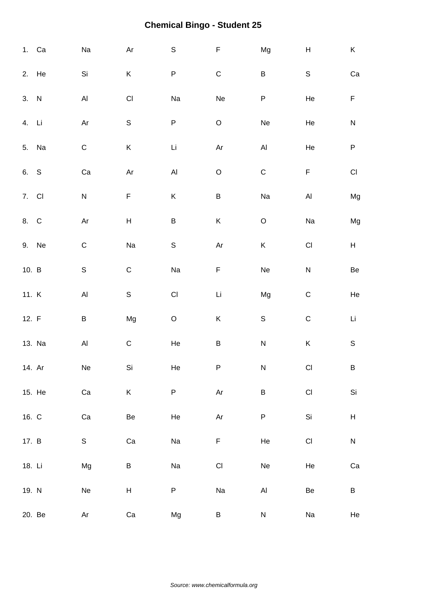|         | 1. Ca  | $\rm Na$                | Ar                     | $\mathsf S$          | $\mathsf F$          | Mg                           | H                      | K                         |
|---------|--------|-------------------------|------------------------|----------------------|----------------------|------------------------------|------------------------|---------------------------|
|         | 2. He  | Si                      | K                      | P                    | $\mathsf C$          | $\sf B$                      | ${\mathsf S}$          | ${\rm Ca}$                |
| 3. N    |        | $\mathsf{Al}\xspace$    | $\mathsf{C}\mathsf{I}$ | Na                   | Ne                   | ${\sf P}$                    | He                     | $\mathsf F$               |
| 4. Li   |        | Ar                      | $\mathsf S$            | P                    | $\mathsf O$          | Ne                           | He                     | ${\sf N}$                 |
|         | 5. Na  | $\mathsf C$             | Κ                      | Li                   | Ar                   | $\mathsf{Al}\hspace{0.04cm}$ | He                     | ${\sf P}$                 |
| 6. S    |        | ${\rm Ca}$              | $\mathsf{Ar}$          | $\mathsf{Al}\xspace$ | $\mathsf O$          | $\mathsf C$                  | $\mathsf F$            | $\mathsf{CI}\xspace$      |
| 7. Cl   |        | ${\sf N}$               | F                      | $\sf K$              | $\sf B$              | Na                           | $\mathsf{Al}\xspace$   | Mg                        |
| 8. C    |        | Ar                      | $H_{\parallel}$        | $\sf B$              | K                    | $\mathsf O$                  | Na                     | Mg                        |
|         | 9. Ne  | $\mathsf C$             | Na                     | $\mathsf S$          | Ar                   | K                            | $\mathsf{C}\mathsf{I}$ | H                         |
| 10. $B$ |        | $\mathsf S$             | $\mathsf C$            | Na                   | $\mathsf F$          | Ne                           | ${\sf N}$              | $\mbox{\sf Be}$           |
| 11. K   |        | $\mathsf{Al}\xspace$    | $\mathsf S$            | $\mathsf{CI}\xspace$ | Li                   | Mg                           | $\mathbf C$            | He                        |
| 12. F   |        | $\sf B$                 | Mg                     | $\mathsf O$          | K                    | $\mathsf S$                  | $\mathsf C$            | Li                        |
|         | 13. Na | $\mathsf{Al}\xspace$    | $\mathsf C$            | $\rm He$             | $\sf B$              | ${\sf N}$                    | $\sf K$                | $\mathsf S$               |
| 14. Ar  |        | Ne                      | Si                     | He                   | P                    | N                            | CI                     | B                         |
|         | 15. He | Ca                      | K                      | P                    | $\mathsf{Ar}$        | $\sf B$                      | $\mathsf{Cl}% _{C}$    | $\mathsf{Si}\xspace$      |
| 16. C   |        | ${\rm Ca}$              | Be                     | He                   | $\mathsf{Ar}$        | $\sf P$                      | $\mathsf{Si}\xspace$   | $\boldsymbol{\mathsf{H}}$ |
| 17. B   |        | $\mathsf S$             | Ca                     | Na                   | F                    | He                           | $\mathsf{C}\mathsf{I}$ | ${\sf N}$                 |
| 18. Li  |        | Mg                      | B                      | Na                   | $\mathsf{CI}\xspace$ | Ne                           | He                     | Ca                        |
| 19. N   |        | $\operatorname{\sf Ne}$ | $\mathsf H$            | P                    | Na                   | $\mathsf{Al}\xspace$         | Be                     | B                         |
|         | 20. Be | Ar                      | Ca                     | Mg                   | B                    | ${\sf N}$                    | Na                     | He                        |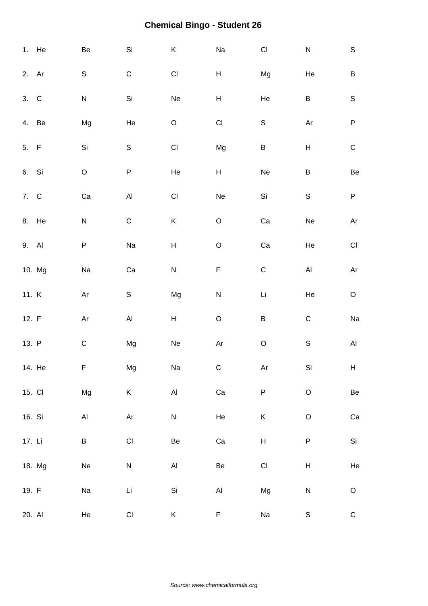|         | 1. He  | Be                   | $\mathsf{Si}\xspace$         | $\sf K$                      | Na                        | $\mathsf{Cl}% _{C}$  | ${\sf N}$                           | $\mathsf S$                                                                               |
|---------|--------|----------------------|------------------------------|------------------------------|---------------------------|----------------------|-------------------------------------|-------------------------------------------------------------------------------------------|
| 2. Ar   |        | S                    | $\mathsf C$                  | $\mathsf{C}\mathsf{I}$       | H                         | Mg                   | He                                  | $\sf B$                                                                                   |
| 3. C    |        | $\mathsf{N}$         | $\mathsf{Si}\xspace$         | Ne                           | $\boldsymbol{\mathsf{H}}$ | He                   | B                                   | $\mathsf S$                                                                               |
| 4. Be   |        | Mg                   | He                           | $\mathsf O$                  | $\mathsf{CI}$             | $\mathsf S$          | $\mathsf{Ar}% _{T}=\mathsf{Ar}_{T}$ | $\sf P$                                                                                   |
| 5. F    |        | Si                   | $\mathsf S$                  | $\mathsf{CI}%$               | Mg                        | $\sf B$              | $\sf H$                             | $\mathsf C$                                                                               |
| 6. Si   |        | $\hbox{O}$           | ${\sf P}$                    | He                           | H                         | Ne                   | $\sf B$                             | Be                                                                                        |
| 7. C    |        | Ca                   | $\mathsf{Al}\xspace$         | $\mathsf{CI}$                | Ne                        | Si                   | $\mathsf S$                         | $\mathsf P$                                                                               |
| 8. He   |        | N                    | $\mathsf C$                  | $\sf K$                      | $\hbox{O}$                | $\rm Ca$             | Ne                                  | $\mathsf{Ar}% _{T}=\mathsf{Ar}_{T}\!\left( a,b\right) ,\ \mathsf{Ar}_{T}=\mathsf{Ar}_{T}$ |
| 9. Al   |        | P                    | Na                           | $\boldsymbol{\mathsf{H}}$    | $\mathsf O$               | Ca                   | He                                  | $\mathsf{Cl}% _{C}$                                                                       |
|         | 10. Mg | Na                   | Ca                           | ${\sf N}$                    | $\mathsf F$               | $\mathsf C$          | $\mathsf{Al}\xspace$                | Ar                                                                                        |
| 11. K   |        | Ar                   | $\mathsf S$                  | Mg                           | ${\sf N}$                 | Li                   | He                                  | $\mathsf O$                                                                               |
| 12. $F$ |        | Ar                   | $\mathsf{Al}\hspace{0.04cm}$ | $\sf H$                      | $\mathsf O$               | $\sf B$              | $\mathsf C$                         | Na                                                                                        |
| 13. P   |        | $\mathsf C$          | Mg                           | ${\sf Ne}$                   | $\mathsf{Ar}$             | $\mathsf O$          | $\mathsf S$                         | $\mathsf{Al}\xspace$                                                                      |
|         | 14. He | F,                   | Mg                           | Na                           | $\mathsf C$               | Ar                   | Si                                  | H.                                                                                        |
| 15. CI  |        | Mg                   | K                            | $\mathsf{Al}\xspace$         | ${\rm Ca}$                | $\sf P$              | $\mathsf O$                         | Be                                                                                        |
| 16. Si  |        | $\mathsf{Al}\xspace$ | Ar                           | ${\sf N}$                    | He                        | K                    | $\mathsf O$                         | Ca                                                                                        |
| 17. Li  |        | B                    | $\mathsf{CI}%$               | Be                           | ${\rm Ca}$                | $H_{\parallel}$      | $\sf P$                             | Si                                                                                        |
|         | 18. Mg | Ne                   | ${\sf N}$                    | $\mathsf{Al}\hspace{0.04cm}$ | Be                        | $\mathsf{CI}\xspace$ | Н                                   | He                                                                                        |
| 19. F   |        | Na                   | Li                           | Si                           | $\mathsf{Al}\xspace$      | Mg                   | ${\sf N}$                           | $\hbox{O}$                                                                                |
| 20. Al  |        | He                   | CI                           | K                            | F                         | Na                   | $\mathbb S$                         | ${\mathsf C}$                                                                             |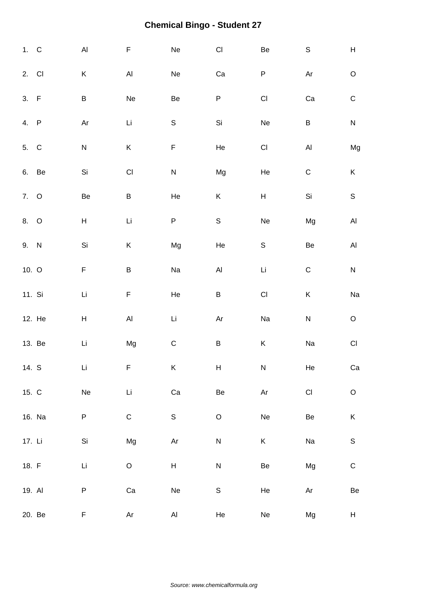| 1. C    |        | $\mathsf{Al}\xspace$      | F                            | Ne                                                                                        | $\mathsf{C}\mathsf{I}$    | $\mbox{\sf Be}$                     | $\mathsf S$                         | $\mathsf{H}% _{\mathbb{R}}^{1}\left( \mathbb{R}^{2}\right)$ |
|---------|--------|---------------------------|------------------------------|-------------------------------------------------------------------------------------------|---------------------------|-------------------------------------|-------------------------------------|-------------------------------------------------------------|
| 2. CI   |        | Κ                         | $\mathsf{Al}\xspace$         | Ne                                                                                        | Ca                        | P                                   | Ar                                  | $\mathsf O$                                                 |
| 3. F    |        | B                         | Ne                           | Be                                                                                        | P                         | $\mathsf{CI}%$                      | Ca                                  | $\mathsf C$                                                 |
| 4. P    |        | Ar                        | Li                           | $\mathsf S$                                                                               | Si                        | Ne                                  | $\sf B$                             | ${\sf N}$                                                   |
| 5. C    |        | ${\sf N}$                 | K                            | F                                                                                         | He                        | $\mathsf{CI}%$                      | $\mathsf{Al}\hspace{0.04cm}$        | Mg                                                          |
| 6. Be   |        | Si                        | $\mathsf{CI}$                | ${\sf N}$                                                                                 | Mg                        | He                                  | $\mathsf C$                         | K                                                           |
| 7. O    |        | Be                        | $\sf B$                      | He                                                                                        | $\sf K$                   | $\boldsymbol{\mathsf{H}}$           | Si                                  | $\mathsf S$                                                 |
| 8. O    |        | $\boldsymbol{\mathsf{H}}$ | Li                           | P                                                                                         | $\mathsf S$               | Ne                                  | Mg                                  | $\mathsf{Al}\xspace$                                        |
| 9. N    |        | Si                        | Κ                            | Mg                                                                                        | He                        | $\mathsf S$                         | Be                                  | $\mathsf{Al}\xspace$                                        |
| 10. $O$ |        | F                         | B                            | Na                                                                                        | $\mathsf{Al}\xspace$      | $\mathsf{Li}\xspace$                | $\mathsf C$                         | ${\sf N}$                                                   |
| 11. Si  |        | Li                        | F                            | He                                                                                        | B                         | $\mathsf{CI}%$                      | Κ                                   | Na                                                          |
|         | 12. He | $\boldsymbol{\mathsf{H}}$ | $\mathsf{Al}\hspace{0.04cm}$ | Li                                                                                        | Ar                        | Na                                  | ${\sf N}$                           | $\mathsf O$                                                 |
|         | 13. Be | Li                        | Mg                           | $\mathsf C$                                                                               | $\sf B$                   | $\sf K$                             | Na                                  | $\mathsf{C}\mathsf{I}$                                      |
| 14. S   |        | Li                        | F                            | K                                                                                         | $\boldsymbol{\mathsf{H}}$ | ${\sf N}$                           | He                                  | Ca                                                          |
| 15. C   |        | Ne                        | $\mathsf{Li}\xspace$         | ${\rm Ca}$                                                                                | $\mbox{\sf Be}$           | $\mathsf{Ar}% _{T}=\mathsf{Ar}_{T}$ | $\mathsf{CI}\xspace$                | $\hbox{O}$                                                  |
|         | 16. Na | P                         | $\mathsf C$                  | $\mathsf S$                                                                               | $\hbox{O}$                | Ne                                  | Be                                  | K                                                           |
| 17. Li  |        | Si                        | Mg                           | $\mathsf{Ar}% _{T}=\mathsf{Ar}_{T}\!\left( a,b\right) ,\ \mathsf{Ar}_{T}=\mathsf{Ar}_{T}$ | ${\sf N}$                 | K                                   | Na                                  | $\mathsf S$                                                 |
| 18. F   |        | Li                        | $\circ$                      | H                                                                                         | ${\sf N}$                 | Be                                  | Mg                                  | $\mathsf C$                                                 |
| 19. Al  |        | P                         | Ca                           | Ne                                                                                        | $\mathsf S$               | He                                  | $\mathsf{Ar}% _{T}=\mathsf{Ar}_{T}$ | $\mbox{\sf Be}$                                             |
|         | 20. Be | F                         | Ar                           | AI                                                                                        | He                        | Ne                                  | Mg                                  | H                                                           |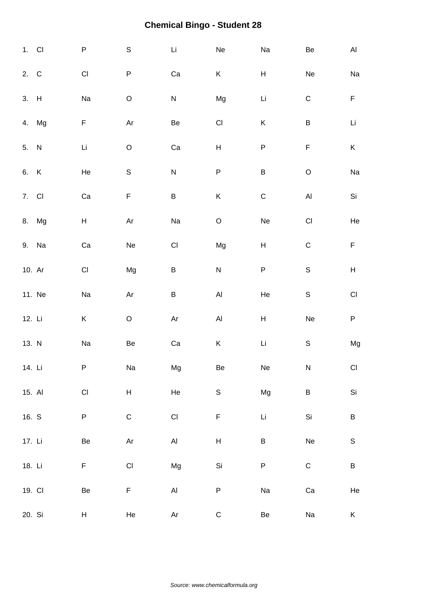| $1.$ Cl |        | $\sf P$                 | $\mathsf S$          | Li                                                                                        | Ne                        | Na                        | $\mbox{\sf Be}$         | AI                        |
|---------|--------|-------------------------|----------------------|-------------------------------------------------------------------------------------------|---------------------------|---------------------------|-------------------------|---------------------------|
| 2. C    |        | $\mathsf{C}\mathsf{I}$  | P                    | Ca                                                                                        | K                         | $\boldsymbol{\mathsf{H}}$ | Ne                      | Na                        |
| 3. H    |        | Na                      | $\mathsf O$          | ${\sf N}$                                                                                 | Mg                        | Li                        | ${\bf C}$               | $\mathsf F$               |
|         | 4. Mg  | F                       | Ar                   | Be                                                                                        | $\mathsf{C}\mathsf{I}$    | Κ                         | $\sf B$                 | Li                        |
| 5. N    |        | Li                      | $\mathsf O$          | Ca                                                                                        | $\boldsymbol{\mathsf{H}}$ | ${\sf P}$                 | F                       | K                         |
| 6. K    |        | He                      | $\mathsf S$          | ${\sf N}$                                                                                 | ${\sf P}$                 | $\sf B$                   | $\mathsf O$             | Na                        |
| 7. CI   |        | Ca                      | F                    | $\sf B$                                                                                   | K                         | $\mathsf C$               | $\mathsf{Al}\xspace$    | $\mathsf{Si}\xspace$      |
|         | 8. Mg  | $\mathsf{H}$            | Ar                   | Na                                                                                        | $\hbox{O}$                | Ne                        | $\mathsf{C}\mathsf{I}$  | He                        |
|         | 9. Na  | Ca                      | Ne                   | $\mathsf{CI}\xspace$                                                                      | Mg                        | $\boldsymbol{\mathsf{H}}$ | $\mathsf C$             | $\mathsf F$               |
| 10. Ar  |        | $\mathsf{C}\mathsf{I}$  | Mg                   | $\sf B$                                                                                   | ${\sf N}$                 | ${\sf P}$                 | $\mathbf S$             | $\boldsymbol{\mathsf{H}}$ |
|         | 11. Ne | Na                      | Ar                   | B                                                                                         | $\mathsf{Al}\xspace$      | He                        | $\mathsf S$             | $\mathsf{C}\mathsf{I}$    |
| 12. Li  |        | Κ                       | $\mathsf O$          | Ar                                                                                        | $\mathsf{Al}\xspace$      | $\boldsymbol{\mathsf{H}}$ | Ne                      | $\sf P$                   |
| 13. N   |        | $\operatorname{\sf Na}$ | Be                   | ${\rm Ca}$                                                                                | K                         | $\mathsf{Li}$             | $\mathbb S$             | Mg                        |
| 14. Li  |        | P                       | Na                   | Mg                                                                                        | Be                        | Ne                        | ${\sf N}$               | $\mathsf{CI}\xspace$      |
| 15. Al  |        | $\mathsf{CI}\xspace$    | $H_{\parallel}$      | He                                                                                        | $\mathsf S$               | Mg                        | $\sf B$                 | $\mathsf{Si}\xspace$      |
| 16. S   |        | P                       | ${\bf C}$            | $\mathsf{CI}\xspace$                                                                      | $\mathsf F$               | $\mathsf{Li}$             | $\mathsf{Si}\xspace$    | $\sf B$                   |
| 17. Li  |        | Be                      | $\mathsf{Ar}$        | AI                                                                                        | $\boldsymbol{\mathsf{H}}$ | $\sf B$                   | $\operatorname{\sf Ne}$ | $\mathbb S$               |
| 18. Li  |        | F                       | $\mathsf{CI}\xspace$ | Mg                                                                                        | Si                        | ${\sf P}$                 | ${\bf C}$               | $\sf B$                   |
| 19. CI  |        | Be                      | F                    | Al                                                                                        | ${\sf P}$                 | Na                        | Ca                      | He                        |
| 20. Si  |        | H                       | He                   | $\mathsf{Ar}% _{T}=\mathsf{Ar}_{T}\!\left( a,b\right) ,\ \mathsf{Ar}_{T}=\mathsf{Ar}_{T}$ | $\mathsf C$               | Be                        | Na                      | K                         |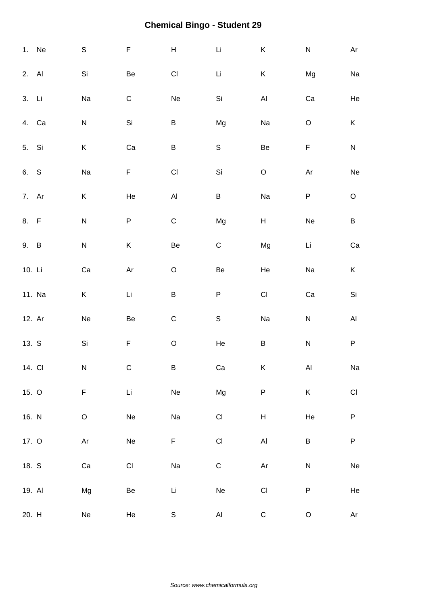|        | 1. Ne  | $\mathbb S$ | F             | $\sf H$                      | Li                   | $\mathsf K$                                                                               | ${\sf N}$   | Ar                      |
|--------|--------|-------------|---------------|------------------------------|----------------------|-------------------------------------------------------------------------------------------|-------------|-------------------------|
| 2. Al  |        | Si          | Be            | $\mathsf{CI}\xspace$         | Li                   | $\sf K$                                                                                   | Mg          | $\operatorname{\sf Na}$ |
| 3. Li  |        | Na          | $\mathsf C$   | $\operatorname{\sf Ne}$      | Si                   | $\mathsf{Al}\xspace$                                                                      | Ca          | He                      |
|        | 4. Ca  | ${\sf N}$   | Si            | B                            | Mg                   | Na                                                                                        | $\mathsf O$ | K                       |
| 5. Si  |        | K           | Ca            | $\sf B$                      | $\mathsf S$          | $\mbox{\sf Be}$                                                                           | F           | ${\sf N}$               |
| 6. S   |        | Na          | F             | $\mathsf{Cl}% _{C}$          | Si                   | $\hbox{O}$                                                                                | Ar          | $\operatorname{\sf Ne}$ |
| 7. Ar  |        | K           | He            | $\mathsf{Al}\hspace{0.04cm}$ | $\sf B$              | Na                                                                                        | P           | $\mathsf O$             |
| 8. F   |        | ${\sf N}$   | ${\sf P}$     | $\mathsf C$                  | Mg                   | $\boldsymbol{\mathsf{H}}$                                                                 | Ne          | $\sf B$                 |
| 9. B   |        | ${\sf N}$   | Κ             | Be                           | ${\bf C}$            | Mg                                                                                        | Li          | ${\rm Ca}$              |
| 10. Li |        | Ca          | Ar            | $\mathsf O$                  | Be                   | He                                                                                        | Na          | K                       |
|        | 11. Na | Κ           | Li            | $\sf B$                      | P                    | $\mathsf{C}\mathsf{I}$                                                                    | Ca          | $\mathsf{Si}\xspace$    |
| 12. Ar |        | Ne          | Be            | $\mathsf C$                  | $\mathsf S$          | Na                                                                                        | ${\sf N}$   | $\mathsf{Al}\xspace$    |
| 13. S  |        | Si          | F             | $\hbox{O}$                   | He                   | $\sf B$                                                                                   | ${\sf N}$   | $\sf P$                 |
| 14. CI |        | N           | $\mathsf C$   | B                            | Ca                   | Κ                                                                                         | Al          | Na                      |
| 15. O  |        | F           | $\mathsf{Li}$ | ${\sf Ne}$                   | Mg                   | $\sf P$                                                                                   | $\sf K$     | $\mathsf{C}\mathsf{I}$  |
| 16. N  |        | $\circ$     | Ne            | Na                           | $\mathsf{CI}\xspace$ | $\boldsymbol{\mathsf{H}}$                                                                 | ${\sf He}$  | $\sf P$                 |
| 17. O  |        | Ar          | Ne            | F                            | $\mathsf{CI}$        | $\mathsf{Al}\xspace$                                                                      | $\sf B$     | ${\sf P}$               |
| 18. S  |        | Ca          | CI            | Na                           | ${\mathsf C}$        | $\mathsf{Ar}% _{T}=\mathsf{Ar}_{T}\!\left( a,b\right) ,\ \mathsf{Ar}_{T}=\mathsf{Ar}_{T}$ | ${\sf N}$   | ${\sf Ne}$              |
| 19. Al |        | Mg          | Be            | Li                           | Ne                   | $\mathsf{Cl}% _{C}$                                                                       | ${\sf P}$   | He                      |
| 20. H  |        | Ne          | He            | $\mathsf S$                  | $\mathsf{Al}\xspace$ | ${\bf C}$                                                                                 | $\mathsf O$ | Ar                      |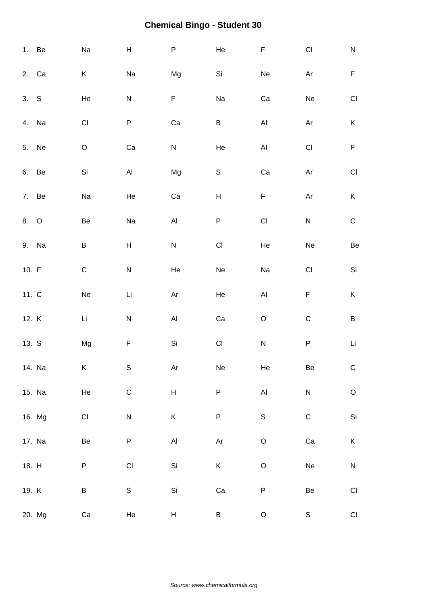|         | 1. Be  | Na                     | $\boldsymbol{\mathsf{H}}$    | ${\sf P}$                                                                                 | He                      | $\mathsf F$                  | $\mathsf{Cl}% _{C}$  | ${\sf N}$              |
|---------|--------|------------------------|------------------------------|-------------------------------------------------------------------------------------------|-------------------------|------------------------------|----------------------|------------------------|
|         | 2. Ca  | Κ                      | Na                           | Mg                                                                                        | Si                      | Ne                           | Ar                   | $\mathsf F$            |
| 3. S    |        | He                     | ${\sf N}$                    | F                                                                                         | Na                      | Ca                           | Ne                   | $\mathsf{C}\mathsf{I}$ |
|         | 4. Na  | $\mathsf{C}\mathsf{I}$ | P                            | Ca                                                                                        | $\sf B$                 | $\mathsf{Al}\hspace{0.04cm}$ | Ar                   | $\sf K$                |
| 5.      | Ne     | $\mathsf O$            | Ca                           | ${\sf N}$                                                                                 | He                      | $\mathsf{Al}\hspace{0.04cm}$ | $\mathsf{CI}\xspace$ | $\mathsf F$            |
| 6. Be   |        | Si                     | $\mathsf{Al}\hspace{0.04cm}$ | Mg                                                                                        | $\mathsf S$             | Ca                           | Ar                   | $\mathsf{Cl}% _{C}$    |
| 7. Be   |        | Na                     | He                           | Ca                                                                                        | $\mathsf{H}$            | $\mathsf F$                  | Ar                   | $\sf K$                |
| 8. O    |        | Be                     | Na                           | $\mathsf{Al}\hspace{0.04cm}$                                                              | $\sf P$                 | $\mathsf{CI}\xspace$         | ${\sf N}$            | $\mathsf C$            |
|         | 9. Na  | B                      | H                            | ${\sf N}$                                                                                 | $\mathsf{CI}%$          | He                           | Ne                   | Be                     |
| 10. $F$ |        | ${\bf C}$              | ${\sf N}$                    | He                                                                                        | Ne                      | Na                           | $\mathsf{CI}\xspace$ | $\mathsf{Si}\xspace$   |
| 11. C   |        | Ne                     | Li                           | Ar                                                                                        | He                      | $\mathsf{Al}\xspace$         | F                    | K                      |
| 12. K   |        | Li                     | ${\sf N}$                    | $\mathsf{Al}\xspace$                                                                      | Ca                      | $\mathsf O$                  | $\mathsf C$          | $\sf B$                |
| 13. S   |        | Mg                     | F                            | Si                                                                                        | $\mathsf{CI}\xspace$    | ${\sf N}$                    | ${\sf P}$            | Li                     |
|         | 14. Na | Κ                      | $\mathbb S$                  | $\mathsf{Ar}% _{T}=\mathsf{Ar}_{T}\!\left( a,b\right) ,\ \mathsf{Ar}_{T}=\mathsf{Ar}_{T}$ | $\operatorname{\sf Ne}$ | He                           | Be                   | ${\bf C}$              |
|         | 15. Na | He                     | $\mathsf C$                  | $H_{\parallel}$                                                                           | ${\sf P}$               | $\mathsf{Al}\xspace$         | ${\sf N}$            | $\mathsf O$            |
|         | 16. Mg | $\mathsf{CI}\xspace$   | ${\sf N}$                    | $\sf K$                                                                                   | ${\sf P}$               | $\mathsf S$                  | $\mathsf C$          | $\mathsf{Si}\xspace$   |
|         | 17. Na | Be                     | P                            | $\mathsf{Al}$                                                                             | Ar                      | $\mathsf O$                  | Ca                   | $\sf K$                |
| 18. H   |        | P                      | $\mathsf{CI}%$               | Si                                                                                        | $\sf K$                 | $\hbox{O}$                   | Ne                   | ${\sf N}$              |
| 19. K   |        | B                      | $\mathsf S$                  | Si                                                                                        | ${\rm Ca}$              | $\sf P$                      | Be                   | $\mathsf{C}\mathsf{I}$ |
|         | 20. Mg | Ca                     | He                           | H                                                                                         | B                       | $\mathsf O$                  | $\mathsf S$          | $\mathsf{C}\mathsf{I}$ |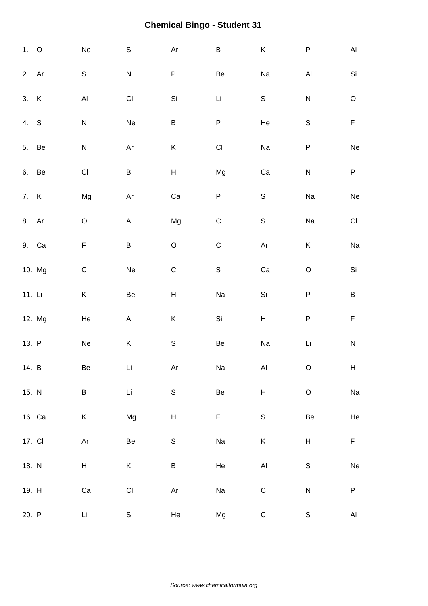| 1.0      |        | Ne                      | $\mathbb S$                  | $\mathsf{Ar}% _{T}=\mathsf{Ar}_{T}\!\left( a,b\right) ,\ \mathsf{Ar}_{T}=\mathsf{Ar}_{T}$ | $\sf B$              | K                                                          | ${\sf P}$               | $\mathsf{Al}\xspace$    |
|----------|--------|-------------------------|------------------------------|-------------------------------------------------------------------------------------------|----------------------|------------------------------------------------------------|-------------------------|-------------------------|
| 2. Ar    |        | $\mathsf S$             | ${\sf N}$                    | ${\sf P}$                                                                                 | Be                   | Na                                                         | AI                      | $\mathsf{Si}\xspace$    |
| 3. K     |        | $\mathsf{Al}\xspace$    | $\mathsf{C}\mathsf{I}$       | Si                                                                                        | Li                   | $\mathsf S$                                                | $\overline{\mathsf{N}}$ | $\mathsf O$             |
| 4. S     |        | ${\sf N}$               | Ne                           | $\sf B$                                                                                   | P                    | He                                                         | Si                      | $\mathsf F$             |
| 5. Be    |        | ${\sf N}$               | $\mathsf{Ar}$                | $\sf K$                                                                                   | $\mathsf{CI}\xspace$ | Na                                                         | ${\sf P}$               | $\operatorname{\sf Ne}$ |
| 6. Be    |        | $\mathsf{Cl}% _{C}$     | B                            | $\sf H$                                                                                   | Mg                   | Ca                                                         | ${\sf N}$               | $\sf P$                 |
| 7. K     |        | Mg                      | $\mathsf{Ar}$                | ${\rm Ca}$                                                                                | $\sf P$              | $\mathsf S$                                                | Na                      | $\operatorname{\sf Ne}$ |
| 8. Ar    |        | $\mathsf O$             | $\mathsf{Al}\hspace{0.04cm}$ | Mg                                                                                        | $\mathsf C$          | $\mathsf S$                                                | Na                      | $\mathsf{CI}%$          |
|          | 9. Ca  | F                       | B                            | $\hbox{O}$                                                                                | $\mathsf C$          | $\mathsf{Ar}% _{\mathsf{C}}^{\mathsf{C}}(\mathcal{M}_{0})$ | K                       | Na                      |
|          | 10. Mg | $\mathsf C$             | Ne                           | $\mathsf{CI}$                                                                             | $\mathsf S$          | Ca                                                         | $\mathsf O$             | Si                      |
| 11. $Li$ |        | K                       | Be                           | $H_{\parallel}$                                                                           | Na                   | Si                                                         | ${\sf P}$               | $\sf B$                 |
|          | 12. Mg | He                      | $\mathsf{Al}\xspace$         | $\sf K$                                                                                   | Si                   | $\boldsymbol{\mathsf{H}}$                                  | $\sf P$                 | $\mathsf F$             |
| 13. P    |        | $\operatorname{\sf Ne}$ | K                            | $\mathbb S$                                                                               | $\mbox{\sf Be}$      | Na                                                         | Li                      | ${\sf N}$               |
| 14. B    |        | Be                      | Li                           | Ar                                                                                        | Na                   | Al                                                         | $\circ$                 | $H_{\odot}$             |
| 15. N    |        | B                       | $\mathop{\hbox{\rm Li}}$     | $\mathsf S$                                                                               | Be                   | $\boldsymbol{\mathsf{H}}$                                  | $\mathsf O$             | Na                      |
|          | 16. Ca | $\sf K$                 | Mg                           | $\boldsymbol{\mathsf{H}}$                                                                 | $\mathsf F$          | $\mathsf S$                                                | Be                      | He                      |
| 17. CI   |        | Ar                      | Be                           | ${\mathsf S}$                                                                             | Na                   | $\sf K$                                                    | H                       | F                       |
| 18. N    |        | H                       | K                            | B                                                                                         | $\rm He$             | $\mathsf{Al}\hspace{0.04cm}$                               | Si                      | Ne                      |
| 19. H    |        | Ca                      | $\mathsf{CI}\xspace$         | $\mathsf{Ar}% _{T}=\mathsf{Ar}_{T}\!\left( a,b\right) ,\ \mathsf{Ar}_{T}=\mathsf{Ar}_{T}$ | Na                   | $\mathsf C$                                                | ${\sf N}$               | ${\sf P}$               |
| 20. P    |        | Li                      | S                            | He                                                                                        | Mg                   | ${\bf C}$                                                  | Si                      | $\mathsf{Al}\xspace$    |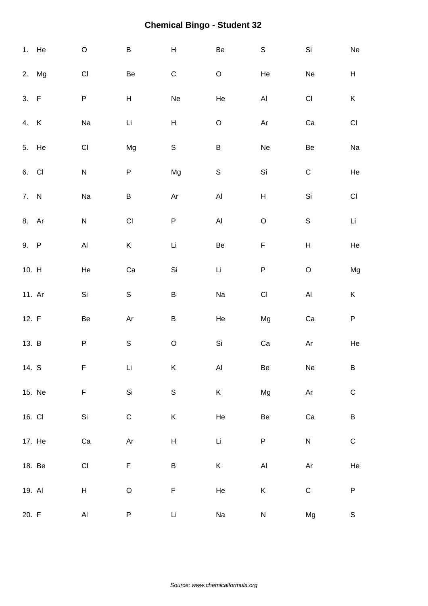|         | 1. He  | $\mathsf O$               | B                         | $\boldsymbol{\mathsf{H}}$ | Be            | $\mathsf S$                  | Si                        | ${\sf Ne}$                |
|---------|--------|---------------------------|---------------------------|---------------------------|---------------|------------------------------|---------------------------|---------------------------|
|         | 2. Mg  | $\mathsf{C}\mathsf{I}$    | Be                        | ${\bf C}$                 | $\mathsf O$   | He                           | Ne                        | $\boldsymbol{\mathsf{H}}$ |
| 3. F    |        | ${\sf P}$                 | $\boldsymbol{\mathsf{H}}$ | Ne                        | He            | $\mathsf{Al}\hspace{0.04cm}$ | $\mathsf{C}\mathsf{I}$    | K                         |
| 4. K    |        | Na                        | Li                        | $\boldsymbol{\mathsf{H}}$ | $\mathsf O$   | Ar                           | ${\rm Ca}$                | $\mathsf{C}\mathsf{I}$    |
| 5. He   |        | $\mathsf{C}\mathsf{I}$    | Mg                        | $\mathsf S$               | $\sf B$       | Ne                           | Be                        | Na                        |
| 6. CI   |        | ${\sf N}$                 | P                         | Mg                        | $\mathsf S$   | Si                           | $\mathsf C$               | He                        |
| 7. N    |        | Na                        | B                         | Ar                        | $\mathsf{Al}$ | $\boldsymbol{\mathsf{H}}$    | Si                        | $\mathsf{Cl}\xspace$      |
| 8. Ar   |        | N                         | $\mathsf{CI}%$            | P                         | $\mathsf{Al}$ | $\mathsf O$                  | $\mathbb S$               | Li                        |
| 9. P    |        | $\mathsf{Al}\xspace$      | Κ                         | Li                        | Be            | $\mathsf F$                  | $\boldsymbol{\mathsf{H}}$ | $\rm He$                  |
| 10. H   |        | He                        | Ca                        | Si                        | Li            | ${\sf P}$                    | $\mathsf O$               | Mg                        |
| 11. Ar  |        | Si                        | ${\sf S}$                 | B                         | Na            | $\mathsf{C}\mathsf{I}$       | $\mathsf{Al}\xspace$      | $\mathsf K$               |
| 12. $F$ |        | Be                        | Ar                        | $\sf B$                   | He            | Mg                           | Ca                        | $\sf P$                   |
| 13. B   |        | ${\sf P}$                 | $\mathsf S$               | $\mathsf O$               | Si            | ${\rm Ca}$                   | Ar                        | He                        |
| 14. S   |        | F                         | Li                        | K                         | Al            | Be                           | Ne                        | B                         |
|         | 15. Ne | F                         | $\mathsf{Si}\xspace$      | $\mathsf S$               | $\mathsf K$   | Mg                           | $\mathsf{Ar}$             | ${\bf C}$                 |
| 16. CI  |        | Si                        | ${\bf C}$                 | $\sf K$                   | He            | $\mbox{\sf Be}$              | ${\rm Ca}$                | $\sf B$                   |
|         | 17. He | ${\rm Ca}$                | $\mathsf{Ar}$             | $H_{\parallel}$           | $\mathsf{Li}$ | ${\sf P}$                    | ${\sf N}$                 | ${\bf C}$                 |
| 18. Be  |        | $\mathsf{C}\mathsf{I}$    | $\mathsf F$               | B                         | K             | $\mathsf{Al}\hspace{0.04cm}$ | $\mathsf{Ar}$             | He                        |
| 19. Al  |        | $\boldsymbol{\mathsf{H}}$ | $\mathsf O$               | F                         | He            | $\sf K$                      | $\mathsf C$               | $\sf P$                   |
| 20. F   |        | $\mathsf{Al}\xspace$      | P                         | Li                        | Na            | ${\sf N}$                    | Mg                        | $\mathbb S$               |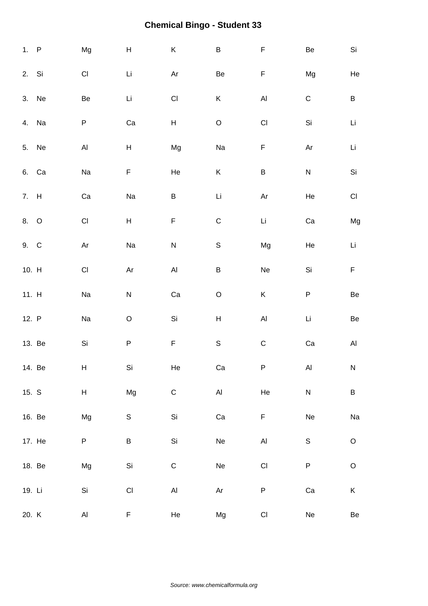| 1. P   |        | Mg                     | $\boldsymbol{\mathsf{H}}$ | $\mathsf K$                  | $\sf B$                      | F                                   | Be          | Si                   |
|--------|--------|------------------------|---------------------------|------------------------------|------------------------------|-------------------------------------|-------------|----------------------|
| 2. Si  |        | $\mathsf{C}\mathsf{I}$ | Li                        | Ar                           | $\mbox{\sf Be}$              | F                                   | Mg          | He                   |
|        | 3. Ne  | Be                     | Li                        | $\mathsf{C}\mathsf{I}$       | K                            | $\mathsf{Al}\hspace{0.04cm}$        | $\mathsf C$ | B                    |
| 4.     | Na     | P                      | Ca                        | H                            | $\mathsf O$                  | $\mathsf{CI}%$                      | Si          | Li                   |
|        | 5. Ne  | $\mathsf{Al}\xspace$   | $\boldsymbol{\mathsf{H}}$ | Mg                           | Na                           | F                                   | Ar          | Li                   |
|        | 6. Ca  | Na                     | F                         | He                           | $\sf K$                      | B                                   | ${\sf N}$   | $\mathsf{Si}\xspace$ |
| 7. H   |        | ${\rm Ca}$             | Na                        | $\sf B$                      | Li                           | $\mathsf{Ar}% _{T}=\mathsf{Ar}_{T}$ | He          | $\mathsf{CI}\xspace$ |
| 8. O   |        | $\mathsf{C}\mathsf{I}$ | $\sf H$                   | F                            | $\mathsf C$                  | $\mathsf{Li}$                       | ${\rm Ca}$  | Mg                   |
| 9. C   |        | Ar                     | Na                        | ${\sf N}$                    | $\mathsf S$                  | Mg                                  | He          | Li                   |
| 10. H  |        | $\mathsf{C}\mathsf{I}$ | Ar                        | $\mathsf{Al}\hspace{0.04cm}$ | $\sf B$                      | Ne                                  | Si          | F                    |
| 11. H  |        | Na                     | ${\sf N}$                 | Ca                           | $\mathsf O$                  | Κ                                   | ${\sf P}$   | Be                   |
| 12. P  |        | Na                     | $\mathsf O$               | $\mathsf{Si}\xspace$         | $\boldsymbol{\mathsf{H}}$    | $\mathsf{Al}\hspace{0.04cm}$        | Li          | $\mbox{\sf Be}$      |
|        | 13. Be | $\mathsf{Si}\xspace$   | ${\sf P}$                 | $\mathsf F$                  | $\mathsf S$                  | $\mathsf C$                         | ${\rm Ca}$  | $\mathsf{Al}\xspace$ |
|        | 14. Be | Н                      | Si                        | He                           | Ca                           | P                                   | AI          | ${\sf N}$            |
| 15. S  |        | H                      | Mg                        | $\mathsf C$                  | $\mathsf{Al}\xspace$         | He                                  | ${\sf N}$   | $\sf B$              |
|        | 16. Be | Mg                     | $\mathsf S$               | Si                           | $\rm Ca$                     | F                                   | Ne          | Na                   |
|        | 17. He | P                      | B                         | Si                           | $\operatorname{\mathsf{Ne}}$ | $\mathsf{Al}\hspace{0.04cm}$        | $\mathsf S$ | $\mathsf O$          |
|        | 18. Be | Mg                     | Si                        | ${\bf C}$                    | ${\sf Ne}$                   | $\mathsf{CI}$                       | ${\sf P}$   | $\mathsf O$          |
| 19. Li |        | Si                     | $\mathsf{CI}\xspace$      | $\mathsf{Al}\xspace$         | $\mathsf{Ar}$                | P                                   | ${\rm Ca}$  | K                    |
| 20. K  |        | $\mathsf{Al}\xspace$   | F                         | He                           | Mg                           | $\mathsf{CI}\xspace$                | Ne          | $\mbox{\sf Be}$      |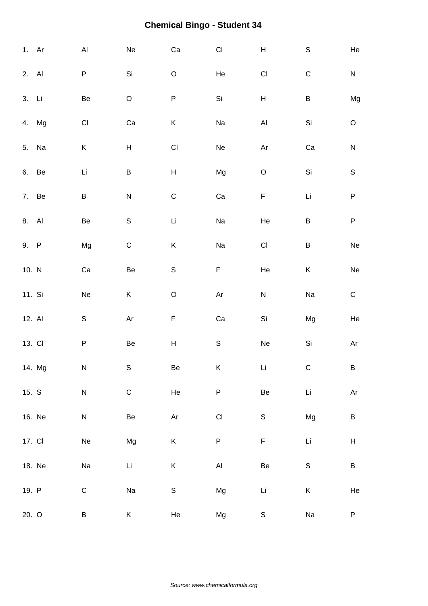| 1. Ar  |        | $\mathsf{Al}\xspace$    | Ne                        | Ca                        | $\mathsf{CI}\xspace$ | $\boldsymbol{\mathsf{H}}$    | $\mathsf S$   | He                        |
|--------|--------|-------------------------|---------------------------|---------------------------|----------------------|------------------------------|---------------|---------------------------|
| 2. Al  |        | P                       | Si                        | $\mathsf O$               | He                   | $\mathsf{Cl}% _{C}$          | $\mathsf C$   | ${\sf N}$                 |
| 3. Li  |        | Be                      | $\mathsf O$               | P                         | Si                   | $\boldsymbol{\mathsf{H}}$    | B             | Mg                        |
| 4.     | Mg     | $\mathsf{C}\mathsf{I}$  | Ca                        | K                         | Na                   | $\mathsf{Al}\hspace{0.04cm}$ | Si            | $\mathsf O$               |
|        | 5. Na  | $\sf K$                 | $\boldsymbol{\mathsf{H}}$ | $\mathsf{CI}\xspace$      | Ne                   | Ar                           | Ca            | ${\sf N}$                 |
|        | 6. Be  | Li                      | $\sf B$                   | $\boldsymbol{\mathsf{H}}$ | Mg                   | $\mathsf O$                  | Si            | $\mathbf S$               |
|        | 7. Be  | $\sf B$                 | ${\sf N}$                 | ${\bf C}$                 | Ca                   | $\mathsf F$                  | Li            | $\sf P$                   |
| 8. Al  |        | Be                      | $\mathbb S$               | Li                        | Na                   | He                           | $\sf B$       | ${\sf P}$                 |
| 9. P   |        | Mg                      | $\mathsf C$               | K                         | Na                   | $\mathsf{C}\mathsf{I}$       | B             | $\operatorname{\sf Ne}$   |
| 10. N  |        | Ca                      | Be                        | $\mathsf S$               | $\mathsf F$          | He                           | Κ             | $\operatorname{\sf Ne}$   |
| 11. Si |        | Ne                      | Κ                         | $\mathsf O$               | Ar                   | ${\sf N}$                    | Na            | ${\bf C}$                 |
| 12. Al |        | $\mathsf S$             | Ar                        | F                         | Ca                   | $\mathsf{Si}\xspace$         | Mg            | He                        |
| 13. CI |        | $\sf P$                 | $\mbox{\sf Be}$           | $H_{\parallel}$           | $\mathsf S$          | $\operatorname{\mathsf{Ne}}$ | Si            | Ar                        |
|        | 14. Mg | ${\sf N}$               | S                         | $\mbox{\sf Be}$           | K                    | Li                           | ${\mathsf C}$ | $\sf B$                   |
| 15. S  |        | ${\sf N}$               | ${\bf C}$                 | He                        | ${\sf P}$            | $\mbox{\sf Be}$              | Li            | $\mathsf{Ar}$             |
|        | 16. Ne | ${\sf N}$               | $\mbox{\sf Be}$           | $\mathsf{Ar}$             | CI                   | $\mathsf S$                  | Mg            | $\sf B$                   |
| 17. CI |        | $\operatorname{\sf Ne}$ | Mg                        | K                         | P                    | F                            | Li            | $\boldsymbol{\mathsf{H}}$ |
|        | 18. Ne | Na                      | $\mathsf{Li}\xspace$      | K                         | $\mathsf{Al}$        | $\mbox{\sf Be}$              | $\mathsf S$   | $\sf B$                   |
| 19. P  |        | $\mathsf C$             | Na                        | $\mathsf S$               | Mg                   | Li                           | K             | He                        |
| 20. O  |        | B                       | $\sf K$                   | He                        | Mg                   | $\mathbb S$                  | Na            | ${\sf P}$                 |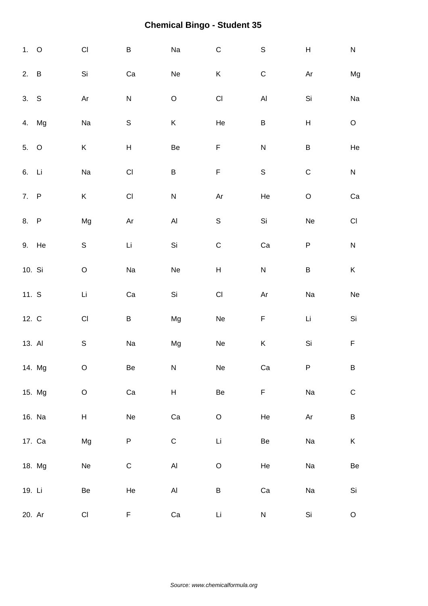| 1. 0    |        | $\mathsf{Cl}% _{C}$       | B                       | Na                           | $\mathsf C$               | $\mathsf S$                  | H           | ${\sf N}$              |
|---------|--------|---------------------------|-------------------------|------------------------------|---------------------------|------------------------------|-------------|------------------------|
| 2. B    |        | Si                        | Ca                      | Ne                           | K                         | $\mathsf C$                  | Ar          | Mg                     |
| 3. S    |        | Ar                        | ${\sf N}$               | $\mathsf O$                  | $\mathsf{CI}$             | $\mathsf{Al}\hspace{0.04cm}$ | Si          | Na                     |
|         | 4. Mg  | Na                        | $\mathsf S$             | K                            | He                        | $\sf B$                      | H           | $\mathsf O$            |
| 5. O    |        | $\sf K$                   | $\sf H$                 | Be                           | F                         | ${\sf N}$                    | $\sf B$     | He                     |
| 6. Li   |        | Na                        | $\mathsf{C}\mathsf{I}$  | $\sf B$                      | $\mathsf F$               | $\mathsf S$                  | $\mathsf C$ | ${\sf N}$              |
| 7. P    |        | $\sf K$                   | $\mathsf{Cl}% _{C}$     | ${\sf N}$                    | Ar                        | He                           | $\hbox{O}$  | Ca                     |
| 8. P    |        | Mg                        | Ar                      | $\mathsf{Al}\hspace{0.04cm}$ | $\mathbb S$               | Si                           | Ne          | $\mathsf{C}\mathsf{I}$ |
|         | 9. He  | $\mathbb S$               | Li                      | Si                           | $\mathsf C$               | ${\rm Ca}$                   | ${\sf P}$   | ${\sf N}$              |
| 10. Si  |        | $\mathsf O$               | Na                      | Ne                           | $\boldsymbol{\mathsf{H}}$ | ${\sf N}$                    | $\sf B$     | Κ                      |
| 11. $S$ |        | Li                        | Ca                      | Si                           | $\mathsf{CI}\xspace$      | Ar                           | Na          | ${\sf Ne}$             |
| 12. C   |        | $\mathsf{Cl}% _{C}$       | B                       | Mg                           | Ne                        | F                            | Li          | Si                     |
| 13. Al  |        | $\mathbb S$               | Na                      | Mg                           | $\operatorname{\sf Ne}$   | Κ                            | Si          | $\mathsf F$            |
|         | 14. Mg | $\mathsf O$               | Be                      | ${\sf N}$                    | $\operatorname{\sf Ne}$   | ${\rm Ca}$                   | P           | B                      |
|         | 15. Mg | $\mathsf O$               | Ca                      | H                            | Be                        | F                            | Na          | $\mathsf C$            |
|         | 16. Na | $\boldsymbol{\mathsf{H}}$ | $\operatorname{\sf Ne}$ | ${\rm Ca}$                   | $\mathsf O$               | He                           | Ar          | $\sf B$                |
|         | 17. Ca | Mg                        | P                       | $\mathsf C$                  | Li                        | Be                           | Na          | K                      |
|         | 18. Mg | $\operatorname{\sf Ne}$   | ${\bf C}$               | AI                           | $\hbox{O}$                | He                           | Na          | Be                     |
| 19. Li  |        | Be                        | He                      | $\mathsf{Al}$                | B                         | ${\rm Ca}$                   | Na          | Si                     |
| 20. Ar  |        | CI                        | F                       | Ca                           | $\mathsf{Li}$             | ${\sf N}$                    | Si          | $\mathsf O$            |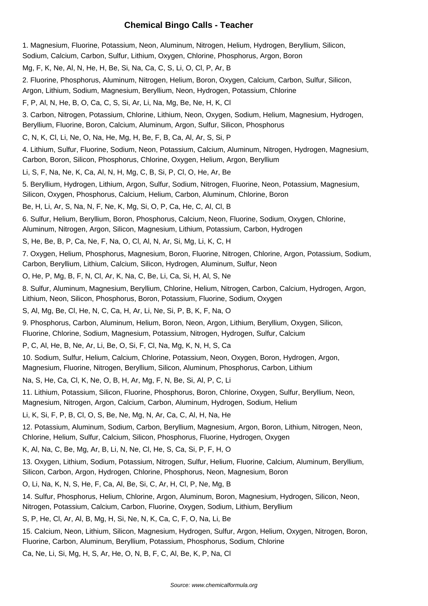#### **Chemical Bingo Calls - Teacher**

1. Magnesium, Fluorine, Potassium, Neon, Aluminum, Nitrogen, Helium, Hydrogen, Beryllium, Silicon, Sodium, Calcium, Carbon, Sulfur, Lithium, Oxygen, Chlorine, Phosphorus, Argon, Boron

Mg, F, K, Ne, Al, N, He, H, Be, Si, Na, Ca, C, S, Li, O, Cl, P, Ar, B

2. Fluorine, Phosphorus, Aluminum, Nitrogen, Helium, Boron, Oxygen, Calcium, Carbon, Sulfur, Silicon,

Argon, Lithium, Sodium, Magnesium, Beryllium, Neon, Hydrogen, Potassium, Chlorine

F, P, Al, N, He, B, O, Ca, C, S, Si, Ar, Li, Na, Mg, Be, Ne, H, K, Cl

3. Carbon, Nitrogen, Potassium, Chlorine, Lithium, Neon, Oxygen, Sodium, Helium, Magnesium, Hydrogen, Beryllium, Fluorine, Boron, Calcium, Aluminum, Argon, Sulfur, Silicon, Phosphorus

C, N, K, Cl, Li, Ne, O, Na, He, Mg, H, Be, F, B, Ca, Al, Ar, S, Si, P

4. Lithium, Sulfur, Fluorine, Sodium, Neon, Potassium, Calcium, Aluminum, Nitrogen, Hydrogen, Magnesium, Carbon, Boron, Silicon, Phosphorus, Chlorine, Oxygen, Helium, Argon, Beryllium

Li, S, F, Na, Ne, K, Ca, Al, N, H, Mg, C, B, Si, P, Cl, O, He, Ar, Be

5. Beryllium, Hydrogen, Lithium, Argon, Sulfur, Sodium, Nitrogen, Fluorine, Neon, Potassium, Magnesium, Silicon, Oxygen, Phosphorus, Calcium, Helium, Carbon, Aluminum, Chlorine, Boron

Be, H, Li, Ar, S, Na, N, F, Ne, K, Mg, Si, O, P, Ca, He, C, Al, Cl, B

6. Sulfur, Helium, Beryllium, Boron, Phosphorus, Calcium, Neon, Fluorine, Sodium, Oxygen, Chlorine,

Aluminum, Nitrogen, Argon, Silicon, Magnesium, Lithium, Potassium, Carbon, Hydrogen

S, He, Be, B, P, Ca, Ne, F, Na, O, Cl, Al, N, Ar, Si, Mg, Li, K, C, H

7. Oxygen, Helium, Phosphorus, Magnesium, Boron, Fluorine, Nitrogen, Chlorine, Argon, Potassium, Sodium, Carbon, Beryllium, Lithium, Calcium, Silicon, Hydrogen, Aluminum, Sulfur, Neon

O, He, P, Mg, B, F, N, Cl, Ar, K, Na, C, Be, Li, Ca, Si, H, Al, S, Ne

8. Sulfur, Aluminum, Magnesium, Beryllium, Chlorine, Helium, Nitrogen, Carbon, Calcium, Hydrogen, Argon, Lithium, Neon, Silicon, Phosphorus, Boron, Potassium, Fluorine, Sodium, Oxygen

S, Al, Mg, Be, Cl, He, N, C, Ca, H, Ar, Li, Ne, Si, P, B, K, F, Na, O

9. Phosphorus, Carbon, Aluminum, Helium, Boron, Neon, Argon, Lithium, Beryllium, Oxygen, Silicon, Fluorine, Chlorine, Sodium, Magnesium, Potassium, Nitrogen, Hydrogen, Sulfur, Calcium

P, C, Al, He, B, Ne, Ar, Li, Be, O, Si, F, Cl, Na, Mg, K, N, H, S, Ca

10. Sodium, Sulfur, Helium, Calcium, Chlorine, Potassium, Neon, Oxygen, Boron, Hydrogen, Argon, Magnesium, Fluorine, Nitrogen, Beryllium, Silicon, Aluminum, Phosphorus, Carbon, Lithium

Na, S, He, Ca, Cl, K, Ne, O, B, H, Ar, Mg, F, N, Be, Si, Al, P, C, Li

11. Lithium, Potassium, Silicon, Fluorine, Phosphorus, Boron, Chlorine, Oxygen, Sulfur, Beryllium, Neon,

Magnesium, Nitrogen, Argon, Calcium, Carbon, Aluminum, Hydrogen, Sodium, Helium

Li, K, Si, F, P, B, Cl, O, S, Be, Ne, Mg, N, Ar, Ca, C, Al, H, Na, He

12. Potassium, Aluminum, Sodium, Carbon, Beryllium, Magnesium, Argon, Boron, Lithium, Nitrogen, Neon, Chlorine, Helium, Sulfur, Calcium, Silicon, Phosphorus, Fluorine, Hydrogen, Oxygen

K, Al, Na, C, Be, Mg, Ar, B, Li, N, Ne, Cl, He, S, Ca, Si, P, F, H, O

13. Oxygen, Lithium, Sodium, Potassium, Nitrogen, Sulfur, Helium, Fluorine, Calcium, Aluminum, Beryllium, Silicon, Carbon, Argon, Hydrogen, Chlorine, Phosphorus, Neon, Magnesium, Boron

O, Li, Na, K, N, S, He, F, Ca, Al, Be, Si, C, Ar, H, Cl, P, Ne, Mg, B

14. Sulfur, Phosphorus, Helium, Chlorine, Argon, Aluminum, Boron, Magnesium, Hydrogen, Silicon, Neon,

Nitrogen, Potassium, Calcium, Carbon, Fluorine, Oxygen, Sodium, Lithium, Beryllium

S, P, He, Cl, Ar, Al, B, Mg, H, Si, Ne, N, K, Ca, C, F, O, Na, Li, Be

15. Calcium, Neon, Lithium, Silicon, Magnesium, Hydrogen, Sulfur, Argon, Helium, Oxygen, Nitrogen, Boron, Fluorine, Carbon, Aluminum, Beryllium, Potassium, Phosphorus, Sodium, Chlorine

Ca, Ne, Li, Si, Mg, H, S, Ar, He, O, N, B, F, C, Al, Be, K, P, Na, Cl